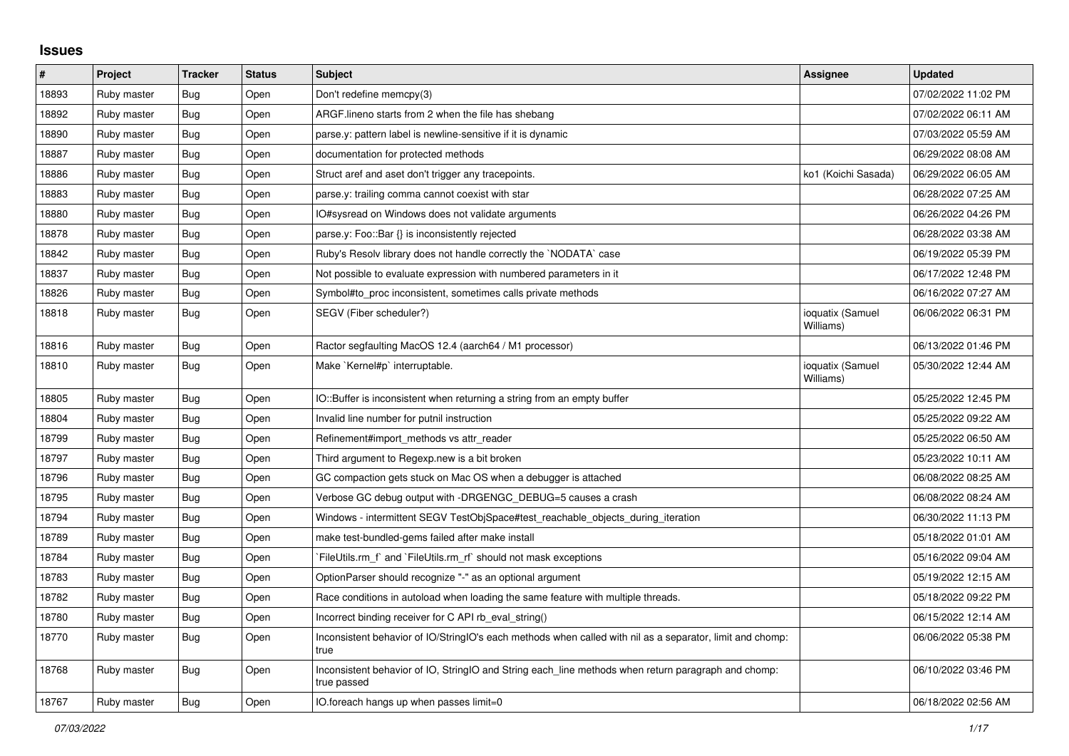## **Issues**

| $\vert$ # | Project     | <b>Tracker</b> | <b>Status</b> | <b>Subject</b>                                                                                                     | Assignee                      | <b>Updated</b>      |
|-----------|-------------|----------------|---------------|--------------------------------------------------------------------------------------------------------------------|-------------------------------|---------------------|
| 18893     | Ruby master | Bug            | Open          | Don't redefine memcpy(3)                                                                                           |                               | 07/02/2022 11:02 PM |
| 18892     | Ruby master | Bug            | Open          | ARGF lineno starts from 2 when the file has shebang                                                                |                               | 07/02/2022 06:11 AM |
| 18890     | Ruby master | <b>Bug</b>     | Open          | parse y: pattern label is newline-sensitive if it is dynamic                                                       |                               | 07/03/2022 05:59 AM |
| 18887     | Ruby master | <b>Bug</b>     | Open          | documentation for protected methods                                                                                |                               | 06/29/2022 08:08 AM |
| 18886     | Ruby master | Bug            | Open          | Struct aref and aset don't trigger any tracepoints.                                                                | ko1 (Koichi Sasada)           | 06/29/2022 06:05 AM |
| 18883     | Ruby master | Bug            | Open          | parse y: trailing comma cannot coexist with star                                                                   |                               | 06/28/2022 07:25 AM |
| 18880     | Ruby master | <b>Bug</b>     | Open          | IO#sysread on Windows does not validate arguments                                                                  |                               | 06/26/2022 04:26 PM |
| 18878     | Ruby master | Bug            | Open          | parse.y: Foo::Bar {} is inconsistently rejected                                                                    |                               | 06/28/2022 03:38 AM |
| 18842     | Ruby master | Bug            | Open          | Ruby's Resolv library does not handle correctly the `NODATA` case                                                  |                               | 06/19/2022 05:39 PM |
| 18837     | Ruby master | <b>Bug</b>     | Open          | Not possible to evaluate expression with numbered parameters in it                                                 |                               | 06/17/2022 12:48 PM |
| 18826     | Ruby master | <b>Bug</b>     | Open          | Symbol#to_proc inconsistent, sometimes calls private methods                                                       |                               | 06/16/2022 07:27 AM |
| 18818     | Ruby master | Bug            | Open          | SEGV (Fiber scheduler?)                                                                                            | ioquatix (Samuel<br>Williams) | 06/06/2022 06:31 PM |
| 18816     | Ruby master | <b>Bug</b>     | Open          | Ractor segfaulting MacOS 12.4 (aarch64 / M1 processor)                                                             |                               | 06/13/2022 01:46 PM |
| 18810     | Ruby master | Bug            | Open          | Make `Kernel#p` interruptable.                                                                                     | ioquatix (Samuel<br>Williams) | 05/30/2022 12:44 AM |
| 18805     | Ruby master | <b>Bug</b>     | Open          | IO::Buffer is inconsistent when returning a string from an empty buffer                                            |                               | 05/25/2022 12:45 PM |
| 18804     | Ruby master | <b>Bug</b>     | Open          | Invalid line number for putnil instruction                                                                         |                               | 05/25/2022 09:22 AM |
| 18799     | Ruby master | Bug            | Open          | Refinement#import methods vs attr reader                                                                           |                               | 05/25/2022 06:50 AM |
| 18797     | Ruby master | Bug            | Open          | Third argument to Regexp.new is a bit broken                                                                       |                               | 05/23/2022 10:11 AM |
| 18796     | Ruby master | Bug            | Open          | GC compaction gets stuck on Mac OS when a debugger is attached                                                     |                               | 06/08/2022 08:25 AM |
| 18795     | Ruby master | <b>Bug</b>     | Open          | Verbose GC debug output with -DRGENGC_DEBUG=5 causes a crash                                                       |                               | 06/08/2022 08:24 AM |
| 18794     | Ruby master | <b>Bug</b>     | Open          | Windows - intermittent SEGV TestObjSpace#test_reachable_objects_during_iteration                                   |                               | 06/30/2022 11:13 PM |
| 18789     | Ruby master | Bug            | Open          | make test-bundled-gems failed after make install                                                                   |                               | 05/18/2022 01:01 AM |
| 18784     | Ruby master | <b>Bug</b>     | Open          | FileUtils.rm f and `FileUtils.rm rf should not mask exceptions                                                     |                               | 05/16/2022 09:04 AM |
| 18783     | Ruby master | Bug            | Open          | OptionParser should recognize "-" as an optional argument                                                          |                               | 05/19/2022 12:15 AM |
| 18782     | Ruby master | Bug            | Open          | Race conditions in autoload when loading the same feature with multiple threads.                                   |                               | 05/18/2022 09:22 PM |
| 18780     | Ruby master | <b>Bug</b>     | Open          | Incorrect binding receiver for C API rb_eval_string()                                                              |                               | 06/15/2022 12:14 AM |
| 18770     | Ruby master | Bug            | Open          | Inconsistent behavior of IO/StringIO's each methods when called with nil as a separator, limit and chomp:<br>true  |                               | 06/06/2022 05:38 PM |
| 18768     | Ruby master | Bug            | Open          | Inconsistent behavior of IO, StringIO and String each_line methods when return paragraph and chomp:<br>true passed |                               | 06/10/2022 03:46 PM |
| 18767     | Ruby master | <b>Bug</b>     | Open          | IO foreach hangs up when passes limit=0                                                                            |                               | 06/18/2022 02:56 AM |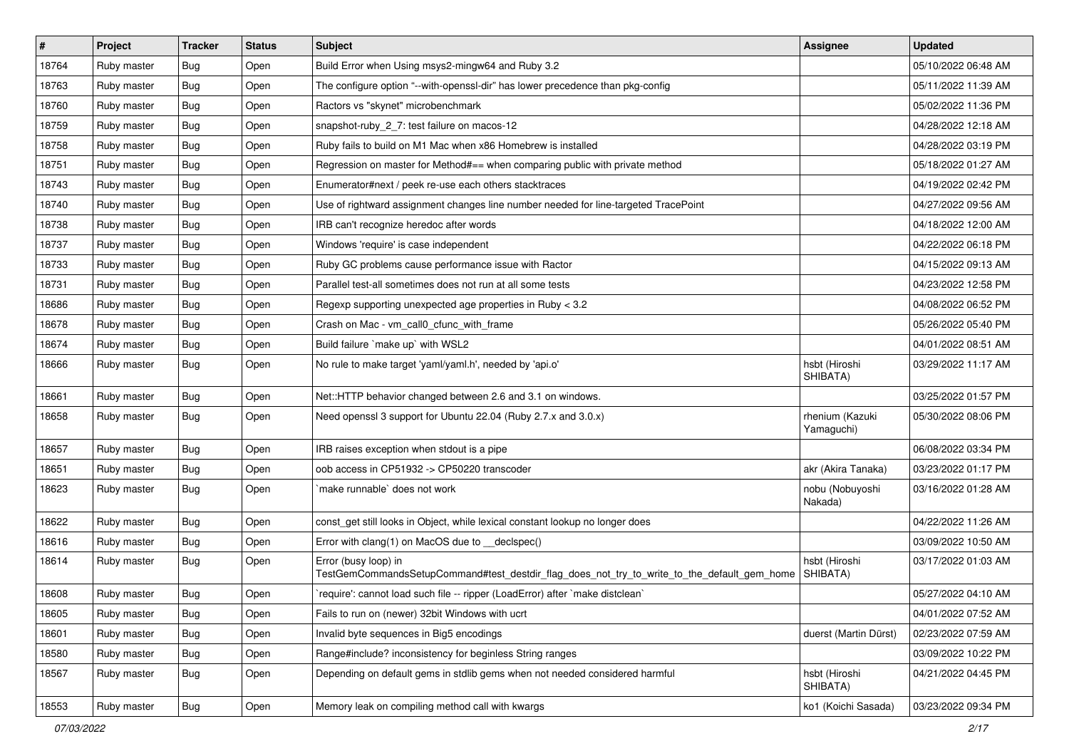| $\vert$ # | Project     | <b>Tracker</b> | <b>Status</b> | Subject                                                                                                             | <b>Assignee</b>               | <b>Updated</b>      |
|-----------|-------------|----------------|---------------|---------------------------------------------------------------------------------------------------------------------|-------------------------------|---------------------|
| 18764     | Ruby master | Bug            | Open          | Build Error when Using msys2-mingw64 and Ruby 3.2                                                                   |                               | 05/10/2022 06:48 AM |
| 18763     | Ruby master | Bug            | Open          | The configure option "--with-openssl-dir" has lower precedence than pkg-config                                      |                               | 05/11/2022 11:39 AM |
| 18760     | Ruby master | <b>Bug</b>     | Open          | Ractors vs "skynet" microbenchmark                                                                                  |                               | 05/02/2022 11:36 PM |
| 18759     | Ruby master | <b>Bug</b>     | Open          | snapshot-ruby_2_7: test failure on macos-12                                                                         |                               | 04/28/2022 12:18 AM |
| 18758     | Ruby master | Bug            | Open          | Ruby fails to build on M1 Mac when x86 Homebrew is installed                                                        |                               | 04/28/2022 03:19 PM |
| 18751     | Ruby master | Bug            | Open          | Regression on master for Method#== when comparing public with private method                                        |                               | 05/18/2022 01:27 AM |
| 18743     | Ruby master | <b>Bug</b>     | Open          | Enumerator#next / peek re-use each others stacktraces                                                               |                               | 04/19/2022 02:42 PM |
| 18740     | Ruby master | <b>Bug</b>     | Open          | Use of rightward assignment changes line number needed for line-targeted TracePoint                                 |                               | 04/27/2022 09:56 AM |
| 18738     | Ruby master | <b>Bug</b>     | Open          | IRB can't recognize heredoc after words                                                                             |                               | 04/18/2022 12:00 AM |
| 18737     | Ruby master | Bug            | Open          | Windows 'require' is case independent                                                                               |                               | 04/22/2022 06:18 PM |
| 18733     | Ruby master | <b>Bug</b>     | Open          | Ruby GC problems cause performance issue with Ractor                                                                |                               | 04/15/2022 09:13 AM |
| 18731     | Ruby master | <b>Bug</b>     | Open          | Parallel test-all sometimes does not run at all some tests                                                          |                               | 04/23/2022 12:58 PM |
| 18686     | Ruby master | Bug            | Open          | Regexp supporting unexpected age properties in Ruby < 3.2                                                           |                               | 04/08/2022 06:52 PM |
| 18678     | Ruby master | Bug            | Open          | Crash on Mac - vm_call0_cfunc_with_frame                                                                            |                               | 05/26/2022 05:40 PM |
| 18674     | Ruby master | <b>Bug</b>     | Open          | Build failure `make up` with WSL2                                                                                   |                               | 04/01/2022 08:51 AM |
| 18666     | Ruby master | <b>Bug</b>     | Open          | No rule to make target 'yaml/yaml.h', needed by 'api.o'                                                             | hsbt (Hiroshi<br>SHIBATA)     | 03/29/2022 11:17 AM |
| 18661     | Ruby master | Bug            | Open          | Net::HTTP behavior changed between 2.6 and 3.1 on windows.                                                          |                               | 03/25/2022 01:57 PM |
| 18658     | Ruby master | <b>Bug</b>     | Open          | Need openssl 3 support for Ubuntu 22.04 (Ruby 2.7.x and 3.0.x)                                                      | rhenium (Kazuki<br>Yamaguchi) | 05/30/2022 08:06 PM |
| 18657     | Ruby master | <b>Bug</b>     | Open          | IRB raises exception when stdout is a pipe                                                                          |                               | 06/08/2022 03:34 PM |
| 18651     | Ruby master | Bug            | Open          | oob access in CP51932 -> CP50220 transcoder                                                                         | akr (Akira Tanaka)            | 03/23/2022 01:17 PM |
| 18623     | Ruby master | <b>Bug</b>     | Open          | `make runnable` does not work                                                                                       | nobu (Nobuyoshi<br>Nakada)    | 03/16/2022 01:28 AM |
| 18622     | Ruby master | <b>Bug</b>     | Open          | const_get still looks in Object, while lexical constant lookup no longer does                                       |                               | 04/22/2022 11:26 AM |
| 18616     | Ruby master | Bug            | Open          | Error with clang(1) on MacOS due to _declspec()                                                                     |                               | 03/09/2022 10:50 AM |
| 18614     | Ruby master | Bug            | Open          | Error (busy loop) in<br>TestGemCommandsSetupCommand#test_destdir_flag_does_not_try_to_write_to_the_default_gem_home | hsbt (Hiroshi<br>SHIBATA)     | 03/17/2022 01:03 AM |
| 18608     | Ruby master | Bug            | Open          | 'require': cannot load such file -- ripper (LoadError) after 'make distclean'                                       |                               | 05/27/2022 04:10 AM |
| 18605     | Ruby master | <b>Bug</b>     | Open          | Fails to run on (newer) 32bit Windows with ucrt                                                                     |                               | 04/01/2022 07:52 AM |
| 18601     | Ruby master | <b>Bug</b>     | Open          | Invalid byte sequences in Big5 encodings                                                                            | duerst (Martin Dürst)         | 02/23/2022 07:59 AM |
| 18580     | Ruby master | Bug            | Open          | Range#include? inconsistency for beginless String ranges                                                            |                               | 03/09/2022 10:22 PM |
| 18567     | Ruby master | <b>Bug</b>     | Open          | Depending on default gems in stdlib gems when not needed considered harmful                                         | hsbt (Hiroshi<br>SHIBATA)     | 04/21/2022 04:45 PM |
| 18553     | Ruby master | <b>Bug</b>     | Open          | Memory leak on compiling method call with kwargs                                                                    | ko1 (Koichi Sasada)           | 03/23/2022 09:34 PM |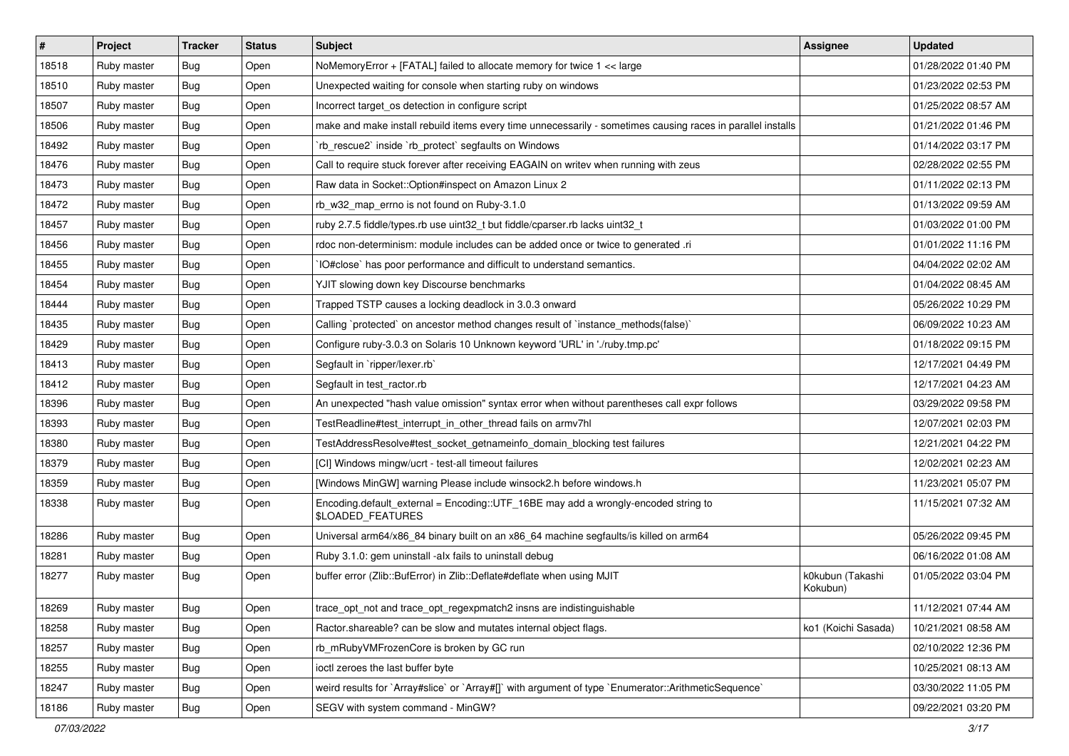| #     | Project     | <b>Tracker</b> | <b>Status</b> | Subject                                                                                                     | Assignee                     | <b>Updated</b>      |
|-------|-------------|----------------|---------------|-------------------------------------------------------------------------------------------------------------|------------------------------|---------------------|
| 18518 | Ruby master | Bug            | Open          | NoMemoryError + [FATAL] failed to allocate memory for twice 1 << large                                      |                              | 01/28/2022 01:40 PM |
| 18510 | Ruby master | Bug            | Open          | Unexpected waiting for console when starting ruby on windows                                                |                              | 01/23/2022 02:53 PM |
| 18507 | Ruby master | Bug            | Open          | Incorrect target os detection in configure script                                                           |                              | 01/25/2022 08:57 AM |
| 18506 | Ruby master | <b>Bug</b>     | Open          | make and make install rebuild items every time unnecessarily - sometimes causing races in parallel installs |                              | 01/21/2022 01:46 PM |
| 18492 | Ruby master | <b>Bug</b>     | Open          | `rb_rescue2` inside `rb_protect` segfaults on Windows                                                       |                              | 01/14/2022 03:17 PM |
| 18476 | Ruby master | Bug            | Open          | Call to require stuck forever after receiving EAGAIN on writev when running with zeus                       |                              | 02/28/2022 02:55 PM |
| 18473 | Ruby master | <b>Bug</b>     | Open          | Raw data in Socket::Option#inspect on Amazon Linux 2                                                        |                              | 01/11/2022 02:13 PM |
| 18472 | Ruby master | <b>Bug</b>     | Open          | rb w32 map errno is not found on Ruby-3.1.0                                                                 |                              | 01/13/2022 09:59 AM |
| 18457 | Ruby master | Bug            | Open          | ruby 2.7.5 fiddle/types.rb use uint32_t but fiddle/cparser.rb lacks uint32_t                                |                              | 01/03/2022 01:00 PM |
| 18456 | Ruby master | <b>Bug</b>     | Open          | rdoc non-determinism: module includes can be added once or twice to generated .ri                           |                              | 01/01/2022 11:16 PM |
| 18455 | Ruby master | Bug            | Open          | IO#close` has poor performance and difficult to understand semantics.                                       |                              | 04/04/2022 02:02 AM |
| 18454 | Ruby master | <b>Bug</b>     | Open          | YJIT slowing down key Discourse benchmarks                                                                  |                              | 01/04/2022 08:45 AM |
| 18444 | Ruby master | <b>Bug</b>     | Open          | Trapped TSTP causes a locking deadlock in 3.0.3 onward                                                      |                              | 05/26/2022 10:29 PM |
| 18435 | Ruby master | <b>Bug</b>     | Open          | Calling `protected` on ancestor method changes result of `instance_methods(false)`                          |                              | 06/09/2022 10:23 AM |
| 18429 | Ruby master | <b>Bug</b>     | Open          | Configure ruby-3.0.3 on Solaris 10 Unknown keyword 'URL' in './ruby.tmp.pc'                                 |                              | 01/18/2022 09:15 PM |
| 18413 | Ruby master | Bug            | Open          | Segfault in `ripper/lexer.rb`                                                                               |                              | 12/17/2021 04:49 PM |
| 18412 | Ruby master | Bug            | Open          | Segfault in test_ractor.rb                                                                                  |                              | 12/17/2021 04:23 AM |
| 18396 | Ruby master | <b>Bug</b>     | Open          | An unexpected "hash value omission" syntax error when without parentheses call expr follows                 |                              | 03/29/2022 09:58 PM |
| 18393 | Ruby master | <b>Bug</b>     | Open          | TestReadline#test interrupt in other thread fails on armv7hl                                                |                              | 12/07/2021 02:03 PM |
| 18380 | Ruby master | <b>Bug</b>     | Open          | TestAddressResolve#test_socket_getnameinfo_domain_blocking test failures                                    |                              | 12/21/2021 04:22 PM |
| 18379 | Ruby master | Bug            | Open          | [CI] Windows mingw/ucrt - test-all timeout failures                                                         |                              | 12/02/2021 02:23 AM |
| 18359 | Ruby master | Bug            | Open          | [Windows MinGW] warning Please include winsock2.h before windows.h                                          |                              | 11/23/2021 05:07 PM |
| 18338 | Ruby master | <b>Bug</b>     | Open          | Encoding.default_external = Encoding::UTF_16BE may add a wrongly-encoded string to<br>\$LOADED_FEATURES     |                              | 11/15/2021 07:32 AM |
| 18286 | Ruby master | <b>Bug</b>     | Open          | Universal arm64/x86_84 binary built on an x86_64 machine segfaults/is killed on arm64                       |                              | 05/26/2022 09:45 PM |
| 18281 | Ruby master | <b>Bug</b>     | Open          | Ruby 3.1.0: gem uninstall -alx fails to uninstall debug                                                     |                              | 06/16/2022 01:08 AM |
| 18277 | Ruby master | Bug            | Open          | buffer error (Zlib::BufError) in Zlib::Deflate#deflate when using MJIT                                      | k0kubun (Takashi<br>Kokubun) | 01/05/2022 03:04 PM |
| 18269 | Ruby master | Bug            | Open          | trace_opt_not and trace_opt_regexpmatch2 insns are indistinguishable                                        |                              | 11/12/2021 07:44 AM |
| 18258 | Ruby master | <b>Bug</b>     | Open          | Ractor shareable? can be slow and mutates internal object flags.                                            | ko1 (Koichi Sasada)          | 10/21/2021 08:58 AM |
| 18257 | Ruby master | <b>Bug</b>     | Open          | rb_mRubyVMFrozenCore is broken by GC run                                                                    |                              | 02/10/2022 12:36 PM |
| 18255 | Ruby master | <b>Bug</b>     | Open          | ioctl zeroes the last buffer byte                                                                           |                              | 10/25/2021 08:13 AM |
| 18247 | Ruby master | <b>Bug</b>     | Open          | weird results for `Array#slice` or `Array#[]` with argument of type `Enumerator::ArithmeticSequence`        |                              | 03/30/2022 11:05 PM |
| 18186 | Ruby master | <b>Bug</b>     | Open          | SEGV with system command - MinGW?                                                                           |                              | 09/22/2021 03:20 PM |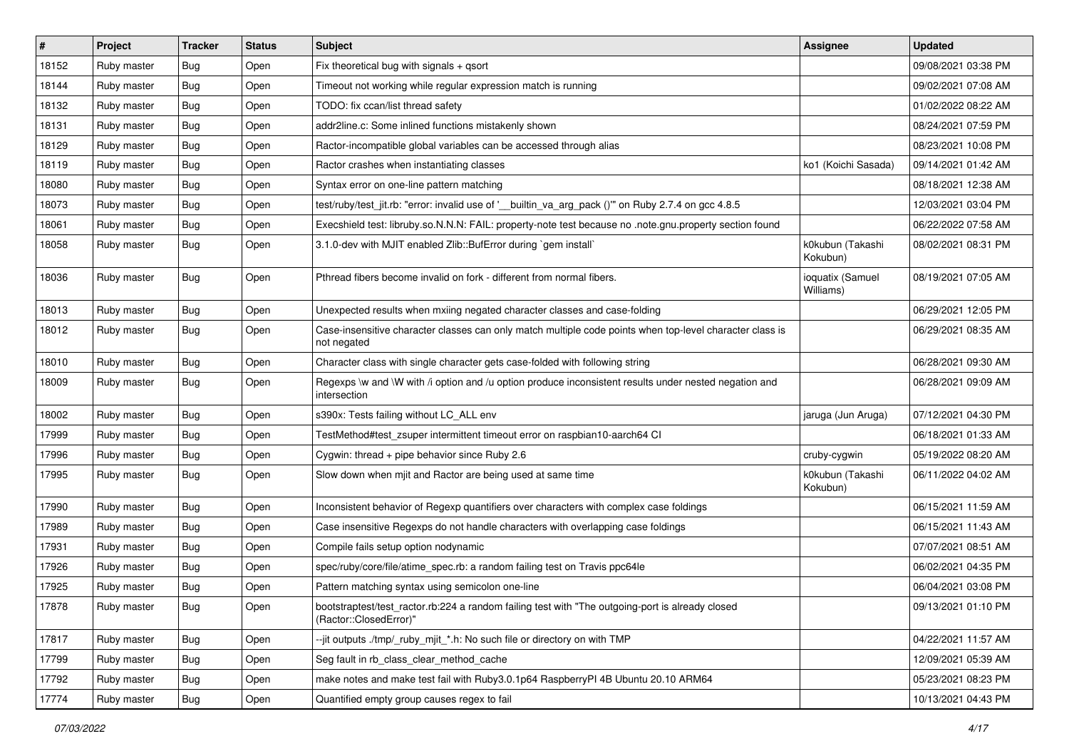| $\sharp$ | Project     | <b>Tracker</b> | <b>Status</b> | Subject                                                                                                                    | <b>Assignee</b>               | <b>Updated</b>      |
|----------|-------------|----------------|---------------|----------------------------------------------------------------------------------------------------------------------------|-------------------------------|---------------------|
| 18152    | Ruby master | <b>Bug</b>     | Open          | Fix theoretical bug with signals + qsort                                                                                   |                               | 09/08/2021 03:38 PM |
| 18144    | Ruby master | Bug            | Open          | Timeout not working while regular expression match is running                                                              |                               | 09/02/2021 07:08 AM |
| 18132    | Ruby master | Bug            | Open          | TODO: fix ccan/list thread safety                                                                                          |                               | 01/02/2022 08:22 AM |
| 18131    | Ruby master | <b>Bug</b>     | Open          | addr2line.c: Some inlined functions mistakenly shown                                                                       |                               | 08/24/2021 07:59 PM |
| 18129    | Ruby master | Bug            | Open          | Ractor-incompatible global variables can be accessed through alias                                                         |                               | 08/23/2021 10:08 PM |
| 18119    | Ruby master | <b>Bug</b>     | Open          | Ractor crashes when instantiating classes                                                                                  | ko1 (Koichi Sasada)           | 09/14/2021 01:42 AM |
| 18080    | Ruby master | Bug            | Open          | Syntax error on one-line pattern matching                                                                                  |                               | 08/18/2021 12:38 AM |
| 18073    | Ruby master | <b>Bug</b>     | Open          | test/ruby/test_jit.rb: "error: invalid use of '__builtin_va_arg_pack ()"' on Ruby 2.7.4 on gcc 4.8.5                       |                               | 12/03/2021 03:04 PM |
| 18061    | Ruby master | Bug            | Open          | Execshield test: libruby.so.N.N.N: FAIL: property-note test because no .note.gnu.property section found                    |                               | 06/22/2022 07:58 AM |
| 18058    | Ruby master | Bug            | Open          | 3.1.0-dev with MJIT enabled Zlib::BufError during `gem install`                                                            | k0kubun (Takashi<br>Kokubun)  | 08/02/2021 08:31 PM |
| 18036    | Ruby master | <b>Bug</b>     | Open          | Pthread fibers become invalid on fork - different from normal fibers.                                                      | ioquatix (Samuel<br>Williams) | 08/19/2021 07:05 AM |
| 18013    | Ruby master | Bug            | Open          | Unexpected results when mxiing negated character classes and case-folding                                                  |                               | 06/29/2021 12:05 PM |
| 18012    | Ruby master | Bug            | Open          | Case-insensitive character classes can only match multiple code points when top-level character class is<br>not negated    |                               | 06/29/2021 08:35 AM |
| 18010    | Ruby master | <b>Bug</b>     | Open          | Character class with single character gets case-folded with following string                                               |                               | 06/28/2021 09:30 AM |
| 18009    | Ruby master | Bug            | Open          | Regexps \w and \W with /i option and /u option produce inconsistent results under nested negation and<br>intersection      |                               | 06/28/2021 09:09 AM |
| 18002    | Ruby master | <b>Bug</b>     | Open          | s390x: Tests failing without LC_ALL env                                                                                    | jaruga (Jun Aruga)            | 07/12/2021 04:30 PM |
| 17999    | Ruby master | <b>Bug</b>     | Open          | TestMethod#test zsuper intermittent timeout error on raspbian10-aarch64 CI                                                 |                               | 06/18/2021 01:33 AM |
| 17996    | Ruby master | Bug            | Open          | Cygwin: thread + pipe behavior since Ruby 2.6                                                                              | cruby-cygwin                  | 05/19/2022 08:20 AM |
| 17995    | Ruby master | Bug            | Open          | Slow down when mjit and Ractor are being used at same time                                                                 | k0kubun (Takashi<br>Kokubun)  | 06/11/2022 04:02 AM |
| 17990    | Ruby master | Bug            | Open          | Inconsistent behavior of Regexp quantifiers over characters with complex case foldings                                     |                               | 06/15/2021 11:59 AM |
| 17989    | Ruby master | Bug            | Open          | Case insensitive Regexps do not handle characters with overlapping case foldings                                           |                               | 06/15/2021 11:43 AM |
| 17931    | Ruby master | Bug            | Open          | Compile fails setup option nodynamic                                                                                       |                               | 07/07/2021 08:51 AM |
| 17926    | Ruby master | <b>Bug</b>     | Open          | spec/ruby/core/file/atime_spec.rb: a random failing test on Travis ppc64le                                                 |                               | 06/02/2021 04:35 PM |
| 17925    | Ruby master | <b>Bug</b>     | Open          | Pattern matching syntax using semicolon one-line                                                                           |                               | 06/04/2021 03:08 PM |
| 17878    | Ruby master | <b>Bug</b>     | Open          | bootstraptest/test_ractor.rb:224 a random failing test with "The outgoing-port is already closed<br>(Ractor::ClosedError)" |                               | 09/13/2021 01:10 PM |
| 17817    | Ruby master | Bug            | Open          | --jit outputs ./tmp/ ruby mjit *.h: No such file or directory on with TMP                                                  |                               | 04/22/2021 11:57 AM |
| 17799    | Ruby master | <b>Bug</b>     | Open          | Seg fault in rb class clear method cache                                                                                   |                               | 12/09/2021 05:39 AM |
| 17792    | Ruby master | <b>Bug</b>     | Open          | make notes and make test fail with Ruby3.0.1p64 RaspberryPI 4B Ubuntu 20.10 ARM64                                          |                               | 05/23/2021 08:23 PM |
| 17774    | Ruby master | <b>Bug</b>     | Open          | Quantified empty group causes regex to fail                                                                                |                               | 10/13/2021 04:43 PM |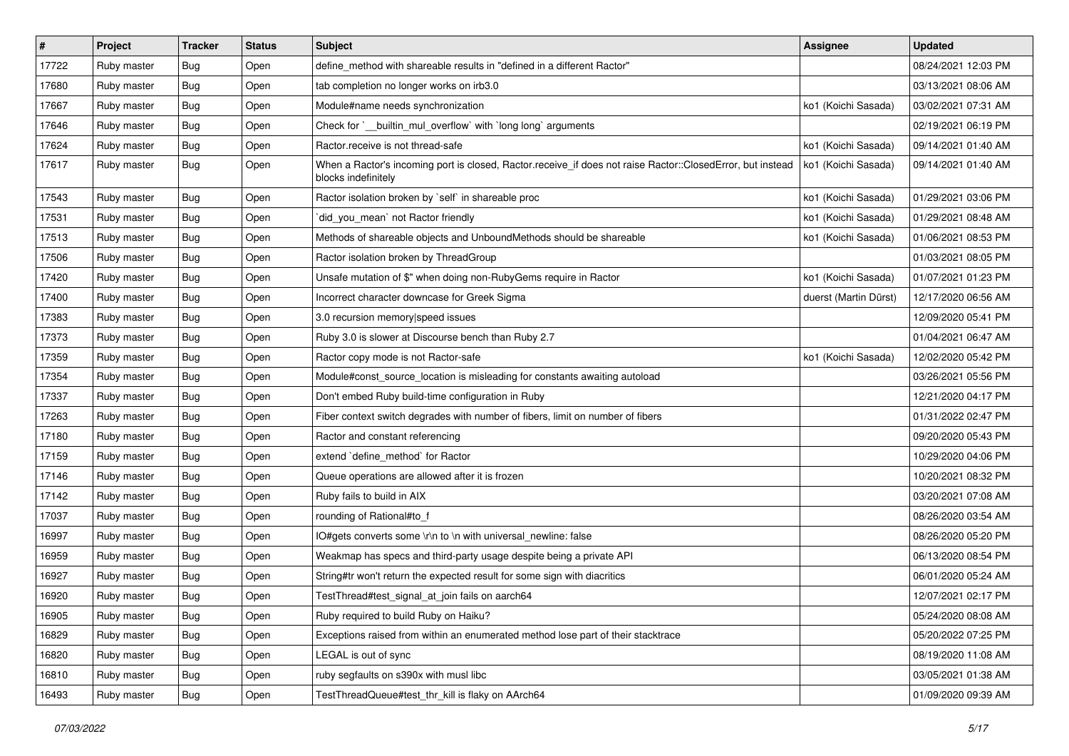| #     | Project     | <b>Tracker</b> | <b>Status</b> | Subject                                                                                                                           | Assignee              | <b>Updated</b>      |
|-------|-------------|----------------|---------------|-----------------------------------------------------------------------------------------------------------------------------------|-----------------------|---------------------|
| 17722 | Ruby master | Bug            | Open          | define_method with shareable results in "defined in a different Ractor"                                                           |                       | 08/24/2021 12:03 PM |
| 17680 | Ruby master | <b>Bug</b>     | Open          | tab completion no longer works on irb3.0                                                                                          |                       | 03/13/2021 08:06 AM |
| 17667 | Ruby master | Bug            | Open          | Module#name needs synchronization                                                                                                 | ko1 (Koichi Sasada)   | 03/02/2021 07:31 AM |
| 17646 | Ruby master | <b>Bug</b>     | Open          | Check for `__builtin_mul_overflow` with `long long` arguments                                                                     |                       | 02/19/2021 06:19 PM |
| 17624 | Ruby master | <b>Bug</b>     | Open          | Ractor.receive is not thread-safe                                                                                                 | ko1 (Koichi Sasada)   | 09/14/2021 01:40 AM |
| 17617 | Ruby master | Bug            | Open          | When a Ractor's incoming port is closed, Ractor.receive_if does not raise Ractor::ClosedError, but instead<br>blocks indefinitely | ko1 (Koichi Sasada)   | 09/14/2021 01:40 AM |
| 17543 | Ruby master | Bug            | Open          | Ractor isolation broken by `self` in shareable proc                                                                               | ko1 (Koichi Sasada)   | 01/29/2021 03:06 PM |
| 17531 | Ruby master | Bug            | Open          | `did_you_mean` not Ractor friendly                                                                                                | ko1 (Koichi Sasada)   | 01/29/2021 08:48 AM |
| 17513 | Ruby master | <b>Bug</b>     | Open          | Methods of shareable objects and UnboundMethods should be shareable                                                               | ko1 (Koichi Sasada)   | 01/06/2021 08:53 PM |
| 17506 | Ruby master | Bug            | Open          | Ractor isolation broken by ThreadGroup                                                                                            |                       | 01/03/2021 08:05 PM |
| 17420 | Ruby master | <b>Bug</b>     | Open          | Unsafe mutation of \$" when doing non-RubyGems require in Ractor                                                                  | ko1 (Koichi Sasada)   | 01/07/2021 01:23 PM |
| 17400 | Ruby master | <b>Bug</b>     | Open          | Incorrect character downcase for Greek Sigma                                                                                      | duerst (Martin Dürst) | 12/17/2020 06:56 AM |
| 17383 | Ruby master | <b>Bug</b>     | Open          | 3.0 recursion memory speed issues                                                                                                 |                       | 12/09/2020 05:41 PM |
| 17373 | Ruby master | <b>Bug</b>     | Open          | Ruby 3.0 is slower at Discourse bench than Ruby 2.7                                                                               |                       | 01/04/2021 06:47 AM |
| 17359 | Ruby master | Bug            | Open          | Ractor copy mode is not Ractor-safe                                                                                               | ko1 (Koichi Sasada)   | 12/02/2020 05:42 PM |
| 17354 | Ruby master | Bug            | Open          | Module#const_source_location is misleading for constants awaiting autoload                                                        |                       | 03/26/2021 05:56 PM |
| 17337 | Ruby master | <b>Bug</b>     | Open          | Don't embed Ruby build-time configuration in Ruby                                                                                 |                       | 12/21/2020 04:17 PM |
| 17263 | Ruby master | <b>Bug</b>     | Open          | Fiber context switch degrades with number of fibers, limit on number of fibers                                                    |                       | 01/31/2022 02:47 PM |
| 17180 | Ruby master | <b>Bug</b>     | Open          | Ractor and constant referencing                                                                                                   |                       | 09/20/2020 05:43 PM |
| 17159 | Ruby master | Bug            | Open          | extend `define_method` for Ractor                                                                                                 |                       | 10/29/2020 04:06 PM |
| 17146 | Ruby master | Bug            | Open          | Queue operations are allowed after it is frozen                                                                                   |                       | 10/20/2021 08:32 PM |
| 17142 | Ruby master | <b>Bug</b>     | Open          | Ruby fails to build in AIX                                                                                                        |                       | 03/20/2021 07:08 AM |
| 17037 | Ruby master | <b>Bug</b>     | Open          | rounding of Rational#to_f                                                                                                         |                       | 08/26/2020 03:54 AM |
| 16997 | Ruby master | <b>Bug</b>     | Open          | IO#gets converts some \r\n to \n with universal_newline: false                                                                    |                       | 08/26/2020 05:20 PM |
| 16959 | Ruby master | <b>Bug</b>     | Open          | Weakmap has specs and third-party usage despite being a private API                                                               |                       | 06/13/2020 08:54 PM |
| 16927 | Ruby master | <b>Bug</b>     | Open          | String#tr won't return the expected result for some sign with diacritics                                                          |                       | 06/01/2020 05:24 AM |
| 16920 | Ruby master | <b>Bug</b>     | Open          | TestThread#test_signal_at_join fails on aarch64                                                                                   |                       | 12/07/2021 02:17 PM |
| 16905 | Ruby master | Bug            | Open          | Ruby required to build Ruby on Haiku?                                                                                             |                       | 05/24/2020 08:08 AM |
| 16829 | Ruby master | Bug            | Open          | Exceptions raised from within an enumerated method lose part of their stacktrace                                                  |                       | 05/20/2022 07:25 PM |
| 16820 | Ruby master | <b>Bug</b>     | Open          | LEGAL is out of sync                                                                                                              |                       | 08/19/2020 11:08 AM |
| 16810 | Ruby master | <b>Bug</b>     | Open          | ruby segfaults on s390x with musl libc                                                                                            |                       | 03/05/2021 01:38 AM |
| 16493 | Ruby master | <b>Bug</b>     | Open          | TestThreadQueue#test_thr_kill is flaky on AArch64                                                                                 |                       | 01/09/2020 09:39 AM |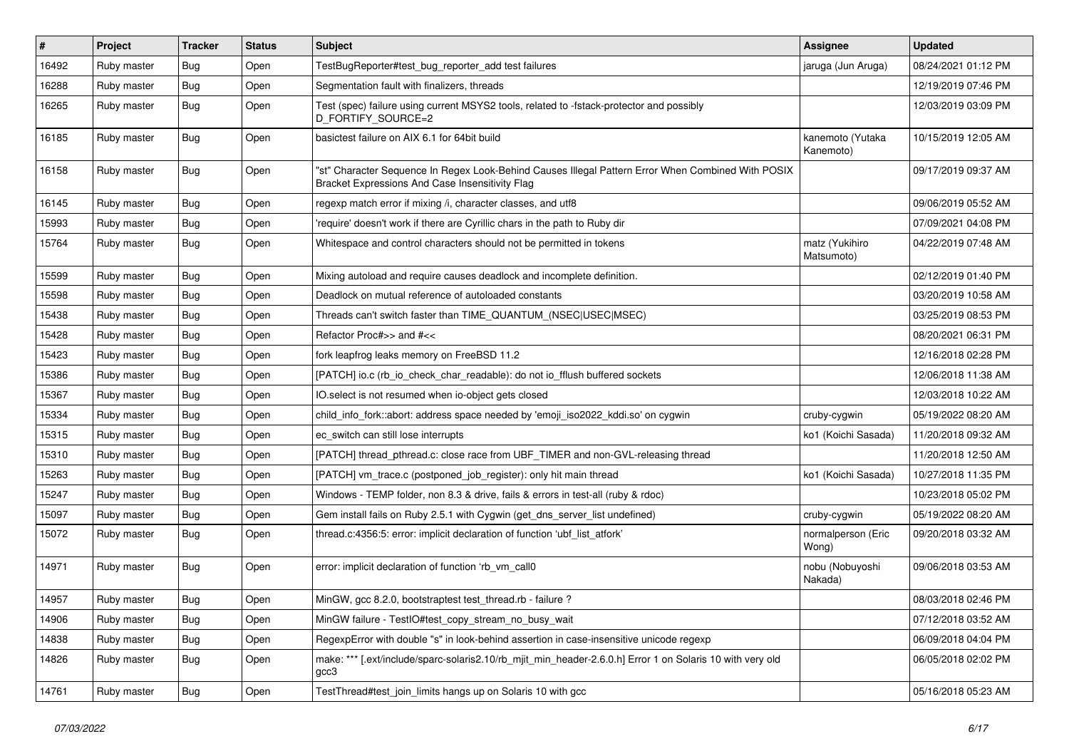| #     | Project     | <b>Tracker</b> | <b>Status</b> | <b>Subject</b>                                                                                                                                        | Assignee                      | <b>Updated</b>      |
|-------|-------------|----------------|---------------|-------------------------------------------------------------------------------------------------------------------------------------------------------|-------------------------------|---------------------|
| 16492 | Ruby master | <b>Bug</b>     | Open          | TestBugReporter#test_bug_reporter_add test failures                                                                                                   | jaruga (Jun Aruga)            | 08/24/2021 01:12 PM |
| 16288 | Ruby master | Bug            | Open          | Segmentation fault with finalizers, threads                                                                                                           |                               | 12/19/2019 07:46 PM |
| 16265 | Ruby master | <b>Bug</b>     | Open          | Test (spec) failure using current MSYS2 tools, related to -fstack-protector and possibly<br>D_FORTIFY_SOURCE=2                                        |                               | 12/03/2019 03:09 PM |
| 16185 | Ruby master | <b>Bug</b>     | Open          | basictest failure on AIX 6.1 for 64bit build                                                                                                          | kanemoto (Yutaka<br>Kanemoto) | 10/15/2019 12:05 AM |
| 16158 | Ruby master | <b>Bug</b>     | Open          | "st" Character Sequence In Regex Look-Behind Causes Illegal Pattern Error When Combined With POSIX<br>Bracket Expressions And Case Insensitivity Flag |                               | 09/17/2019 09:37 AM |
| 16145 | Ruby master | <b>Bug</b>     | Open          | regexp match error if mixing /i, character classes, and utf8                                                                                          |                               | 09/06/2019 05:52 AM |
| 15993 | Ruby master | Bug            | Open          | 'require' doesn't work if there are Cyrillic chars in the path to Ruby dir                                                                            |                               | 07/09/2021 04:08 PM |
| 15764 | Ruby master | <b>Bug</b>     | Open          | Whitespace and control characters should not be permitted in tokens                                                                                   | matz (Yukihiro<br>Matsumoto)  | 04/22/2019 07:48 AM |
| 15599 | Ruby master | Bug            | Open          | Mixing autoload and require causes deadlock and incomplete definition.                                                                                |                               | 02/12/2019 01:40 PM |
| 15598 | Ruby master | Bug            | Open          | Deadlock on mutual reference of autoloaded constants                                                                                                  |                               | 03/20/2019 10:58 AM |
| 15438 | Ruby master | <b>Bug</b>     | Open          | Threads can't switch faster than TIME_QUANTUM_(NSEC USEC MSEC)                                                                                        |                               | 03/25/2019 08:53 PM |
| 15428 | Ruby master | Bug            | Open          | Refactor Proc#>> and #<<                                                                                                                              |                               | 08/20/2021 06:31 PM |
| 15423 | Ruby master | Bug            | Open          | fork leapfrog leaks memory on FreeBSD 11.2                                                                                                            |                               | 12/16/2018 02:28 PM |
| 15386 | Ruby master | <b>Bug</b>     | Open          | [PATCH] io.c (rb_io_check_char_readable): do not io_fflush buffered sockets                                                                           |                               | 12/06/2018 11:38 AM |
| 15367 | Ruby master | Bug            | Open          | IO.select is not resumed when io-object gets closed                                                                                                   |                               | 12/03/2018 10:22 AM |
| 15334 | Ruby master | <b>Bug</b>     | Open          | child_info_fork::abort: address space needed by 'emoji_iso2022_kddi.so' on cygwin                                                                     | cruby-cygwin                  | 05/19/2022 08:20 AM |
| 15315 | Ruby master | Bug            | Open          | ec_switch can still lose interrupts                                                                                                                   | ko1 (Koichi Sasada)           | 11/20/2018 09:32 AM |
| 15310 | Ruby master | Bug            | Open          | [PATCH] thread_pthread.c: close race from UBF_TIMER and non-GVL-releasing thread                                                                      |                               | 11/20/2018 12:50 AM |
| 15263 | Ruby master | <b>Bug</b>     | Open          | [PATCH] vm_trace.c (postponed_job_register): only hit main thread                                                                                     | ko1 (Koichi Sasada)           | 10/27/2018 11:35 PM |
| 15247 | Ruby master | <b>Bug</b>     | Open          | Windows - TEMP folder, non 8.3 & drive, fails & errors in test-all (ruby & rdoc)                                                                      |                               | 10/23/2018 05:02 PM |
| 15097 | Ruby master | <b>Bug</b>     | Open          | Gem install fails on Ruby 2.5.1 with Cygwin (get_dns_server_list undefined)                                                                           | cruby-cygwin                  | 05/19/2022 08:20 AM |
| 15072 | Ruby master | <b>Bug</b>     | Open          | thread.c:4356:5: error: implicit declaration of function 'ubf_list_atfork'                                                                            | normalperson (Eric<br>Wong)   | 09/20/2018 03:32 AM |
| 14971 | Ruby master | <b>Bug</b>     | Open          | error: implicit declaration of function 'rb_vm_call0                                                                                                  | nobu (Nobuyoshi<br>Nakada)    | 09/06/2018 03:53 AM |
| 14957 | Ruby master | <b>Bug</b>     | Open          | MinGW, gcc 8.2.0, bootstraptest test_thread.rb - failure ?                                                                                            |                               | 08/03/2018 02:46 PM |
| 14906 | Ruby master | Bug            | Open          | MinGW failure - TestIO#test_copy_stream_no_busy_wait                                                                                                  |                               | 07/12/2018 03:52 AM |
| 14838 | Ruby master | <b>Bug</b>     | Open          | RegexpError with double "s" in look-behind assertion in case-insensitive unicode regexp                                                               |                               | 06/09/2018 04:04 PM |
| 14826 | Ruby master | <b>Bug</b>     | Open          | make: *** [.ext/include/sparc-solaris2.10/rb_mjit_min_header-2.6.0.h] Error 1 on Solaris 10 with very old<br>gcc3                                     |                               | 06/05/2018 02:02 PM |
| 14761 | Ruby master | <b>Bug</b>     | Open          | TestThread#test_join_limits hangs up on Solaris 10 with gcc                                                                                           |                               | 05/16/2018 05:23 AM |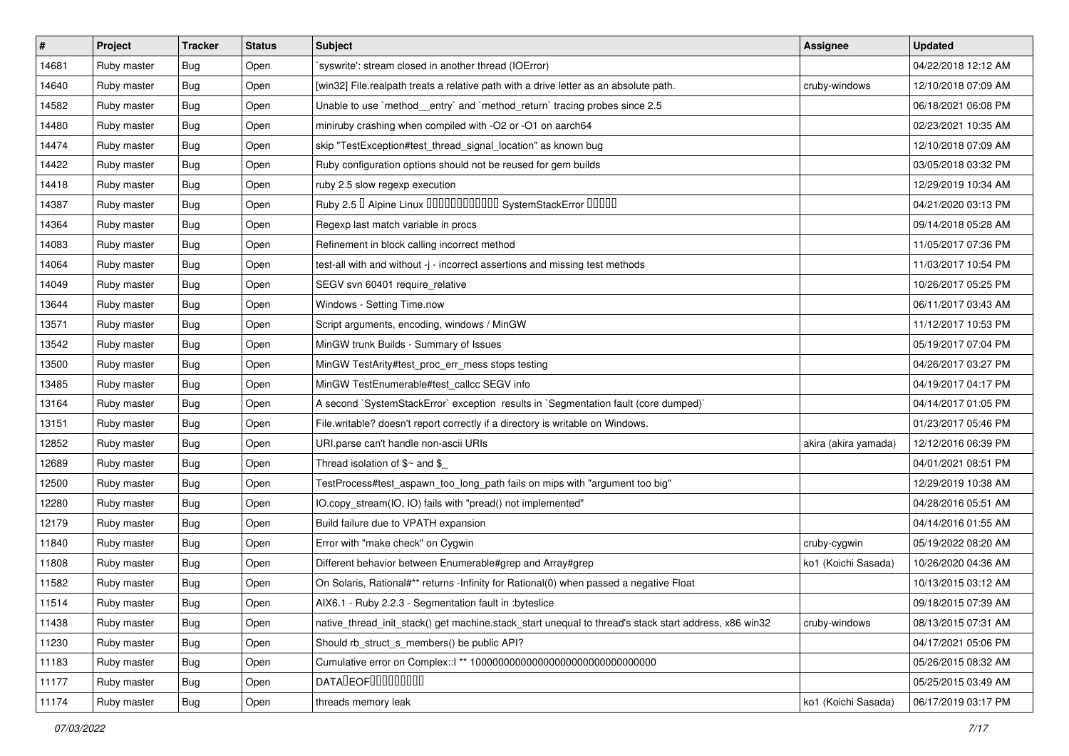| $\vert$ # | Project     | <b>Tracker</b> | <b>Status</b> | Subject                                                                                               | <b>Assignee</b>      | <b>Updated</b>      |
|-----------|-------------|----------------|---------------|-------------------------------------------------------------------------------------------------------|----------------------|---------------------|
| 14681     | Ruby master | Bug            | Open          | syswrite': stream closed in another thread (IOError)                                                  |                      | 04/22/2018 12:12 AM |
| 14640     | Ruby master | <b>Bug</b>     | Open          | [win32] File.realpath treats a relative path with a drive letter as an absolute path.                 | cruby-windows        | 12/10/2018 07:09 AM |
| 14582     | Ruby master | Bug            | Open          | Unable to use `method_entry` and `method_return` tracing probes since 2.5                             |                      | 06/18/2021 06:08 PM |
| 14480     | Ruby master | <b>Bug</b>     | Open          | miniruby crashing when compiled with -O2 or -O1 on aarch64                                            |                      | 02/23/2021 10:35 AM |
| 14474     | Ruby master | Bug            | Open          | skip "TestException#test_thread_signal_location" as known bug                                         |                      | 12/10/2018 07:09 AM |
| 14422     | Ruby master | Bug            | Open          | Ruby configuration options should not be reused for gem builds                                        |                      | 03/05/2018 03:32 PM |
| 14418     | Ruby master | <b>Bug</b>     | Open          | ruby 2.5 slow regexp execution                                                                        |                      | 12/29/2019 10:34 AM |
| 14387     | Ruby master | Bug            | Open          | Ruby 2.5 <sup>D</sup> Alpine Linux <b>DDDDDDDDDDD</b> SystemStackError <b>DDDD</b>                    |                      | 04/21/2020 03:13 PM |
| 14364     | Ruby master | Bug            | Open          | Regexp last match variable in procs                                                                   |                      | 09/14/2018 05:28 AM |
| 14083     | Ruby master | Bug            | Open          | Refinement in block calling incorrect method                                                          |                      | 11/05/2017 07:36 PM |
| 14064     | Ruby master | <b>Bug</b>     | Open          | test-all with and without -j - incorrect assertions and missing test methods                          |                      | 11/03/2017 10:54 PM |
| 14049     | Ruby master | Bug            | Open          | SEGV svn 60401 require_relative                                                                       |                      | 10/26/2017 05:25 PM |
| 13644     | Ruby master | <b>Bug</b>     | Open          | Windows - Setting Time.now                                                                            |                      | 06/11/2017 03:43 AM |
| 13571     | Ruby master | Bug            | Open          | Script arguments, encoding, windows / MinGW                                                           |                      | 11/12/2017 10:53 PM |
| 13542     | Ruby master | <b>Bug</b>     | Open          | MinGW trunk Builds - Summary of Issues                                                                |                      | 05/19/2017 07:04 PM |
| 13500     | Ruby master | Bug            | Open          | MinGW TestArity#test_proc_err_mess stops testing                                                      |                      | 04/26/2017 03:27 PM |
| 13485     | Ruby master | <b>Bug</b>     | Open          | MinGW TestEnumerable#test_callcc SEGV info                                                            |                      | 04/19/2017 04:17 PM |
| 13164     | Ruby master | Bug            | Open          | A second `SystemStackError` exception results in `Segmentation fault (core dumped)`                   |                      | 04/14/2017 01:05 PM |
| 13151     | Ruby master | Bug            | Open          | File.writable? doesn't report correctly if a directory is writable on Windows.                        |                      | 01/23/2017 05:46 PM |
| 12852     | Ruby master | <b>Bug</b>     | Open          | URI.parse can't handle non-ascii URIs                                                                 | akira (akira yamada) | 12/12/2016 06:39 PM |
| 12689     | Ruby master | Bug            | Open          | Thread isolation of $$~$ and \$                                                                       |                      | 04/01/2021 08:51 PM |
| 12500     | Ruby master | Bug            | Open          | TestProcess#test_aspawn_too_long_path fails on mips with "argument too big"                           |                      | 12/29/2019 10:38 AM |
| 12280     | Ruby master | Bug            | Open          | IO.copy_stream(IO, IO) fails with "pread() not implemented"                                           |                      | 04/28/2016 05:51 AM |
| 12179     | Ruby master | <b>Bug</b>     | Open          | Build failure due to VPATH expansion                                                                  |                      | 04/14/2016 01:55 AM |
| 11840     | Ruby master | Bug            | Open          | Error with "make check" on Cygwin                                                                     | cruby-cygwin         | 05/19/2022 08:20 AM |
| 11808     | Ruby master | <b>Bug</b>     | Open          | Different behavior between Enumerable#grep and Array#grep                                             | ko1 (Koichi Sasada)  | 10/26/2020 04:36 AM |
| 11582     | Ruby master | Bug            | Open          | On Solaris, Rational#** returns -Infinity for Rational(0) when passed a negative Float                |                      | 10/13/2015 03:12 AM |
| 11514     | Ruby master | <b>Bug</b>     | Open          | AIX6.1 - Ruby 2.2.3 - Segmentation fault in :byteslice                                                |                      | 09/18/2015 07:39 AM |
| 11438     | Ruby master | <b>Bug</b>     | Open          | native_thread_init_stack() get machine.stack_start unequal to thread's stack start address, x86 win32 | cruby-windows        | 08/13/2015 07:31 AM |
| 11230     | Ruby master | Bug            | Open          | Should rb_struct_s_members() be public API?                                                           |                      | 04/17/2021 05:06 PM |
| 11183     | Ruby master | Bug            | Open          |                                                                                                       |                      | 05/26/2015 08:32 AM |
| 11177     | Ruby master | <b>Bug</b>     | Open          | DATADEOF00000000                                                                                      |                      | 05/25/2015 03:49 AM |
| 11174     | Ruby master | <b>Bug</b>     | Open          | threads memory leak                                                                                   | ko1 (Koichi Sasada)  | 06/17/2019 03:17 PM |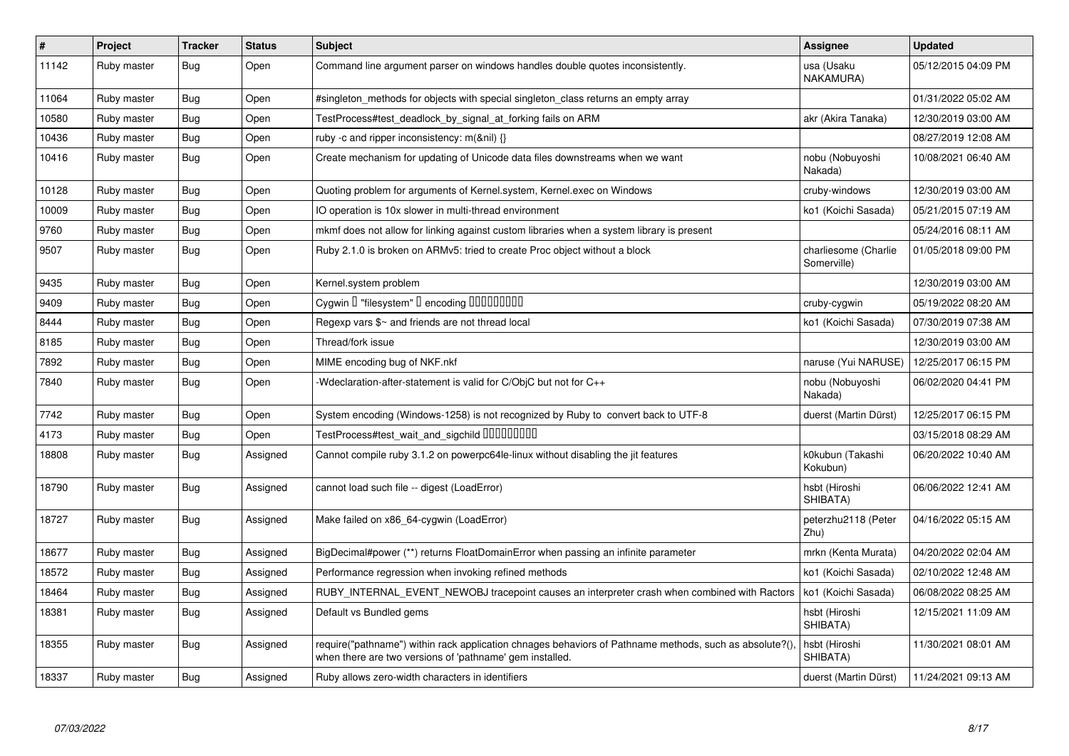| $\vert$ # | Project     | <b>Tracker</b> | <b>Status</b> | <b>Subject</b>                                                                                                                                                      | Assignee                            | <b>Updated</b>      |
|-----------|-------------|----------------|---------------|---------------------------------------------------------------------------------------------------------------------------------------------------------------------|-------------------------------------|---------------------|
| 11142     | Ruby master | Bug            | Open          | Command line argument parser on windows handles double quotes inconsistently.                                                                                       | usa (Usaku<br>NAKAMURA)             | 05/12/2015 04:09 PM |
| 11064     | Ruby master | Bug            | Open          | #singleton methods for objects with special singleton class returns an empty array                                                                                  |                                     | 01/31/2022 05:02 AM |
| 10580     | Ruby master | Bug            | Open          | TestProcess#test_deadlock_by_signal_at_forking fails on ARM                                                                                                         | akr (Akira Tanaka)                  | 12/30/2019 03:00 AM |
| 10436     | Ruby master | <b>Bug</b>     | Open          | ruby -c and ripper inconsistency: $m(\& \text{nil}) \{\}$                                                                                                           |                                     | 08/27/2019 12:08 AM |
| 10416     | Ruby master | Bug            | Open          | Create mechanism for updating of Unicode data files downstreams when we want                                                                                        | nobu (Nobuyoshi<br>Nakada)          | 10/08/2021 06:40 AM |
| 10128     | Ruby master | <b>Bug</b>     | Open          | Quoting problem for arguments of Kernel.system, Kernel.exec on Windows                                                                                              | cruby-windows                       | 12/30/2019 03:00 AM |
| 10009     | Ruby master | Bug            | Open          | IO operation is 10x slower in multi-thread environment                                                                                                              | ko1 (Koichi Sasada)                 | 05/21/2015 07:19 AM |
| 9760      | Ruby master | <b>Bug</b>     | Open          | mkmf does not allow for linking against custom libraries when a system library is present                                                                           |                                     | 05/24/2016 08:11 AM |
| 9507      | Ruby master | <b>Bug</b>     | Open          | Ruby 2.1.0 is broken on ARMv5: tried to create Proc object without a block                                                                                          | charliesome (Charlie<br>Somerville) | 01/05/2018 09:00 PM |
| 9435      | Ruby master | Bug            | Open          | Kernel.system problem                                                                                                                                               |                                     | 12/30/2019 03:00 AM |
| 9409      | Ruby master | <b>Bug</b>     | Open          | Cygwin I "filesystem" I encoding IIIIIIIIIIIII                                                                                                                      | cruby-cygwin                        | 05/19/2022 08:20 AM |
| 8444      | Ruby master | Bug            | Open          | Regexp vars \$~ and friends are not thread local                                                                                                                    | ko1 (Koichi Sasada)                 | 07/30/2019 07:38 AM |
| 8185      | Ruby master | <b>Bug</b>     | Open          | Thread/fork issue                                                                                                                                                   |                                     | 12/30/2019 03:00 AM |
| 7892      | Ruby master | Bug            | Open          | MIME encoding bug of NKF.nkf                                                                                                                                        | naruse (Yui NARUSE)                 | 12/25/2017 06:15 PM |
| 7840      | Ruby master | Bug            | Open          | -Wdeclaration-after-statement is valid for C/ObjC but not for C++                                                                                                   | nobu (Nobuyoshi<br>Nakada)          | 06/02/2020 04:41 PM |
| 7742      | Ruby master | Bug            | Open          | System encoding (Windows-1258) is not recognized by Ruby to convert back to UTF-8                                                                                   | duerst (Martin Dürst)               | 12/25/2017 06:15 PM |
| 4173      | Ruby master | <b>Bug</b>     | Open          | TestProcess#test_wait_and_sigchild DDDDDDDD                                                                                                                         |                                     | 03/15/2018 08:29 AM |
| 18808     | Ruby master | <b>Bug</b>     | Assigned      | Cannot compile ruby 3.1.2 on powerpc64le-linux without disabling the jit features                                                                                   | k0kubun (Takashi<br>Kokubun)        | 06/20/2022 10:40 AM |
| 18790     | Ruby master | <b>Bug</b>     | Assigned      | cannot load such file -- digest (LoadError)                                                                                                                         | hsbt (Hiroshi<br>SHIBATA)           | 06/06/2022 12:41 AM |
| 18727     | Ruby master | <b>Bug</b>     | Assigned      | Make failed on x86_64-cygwin (LoadError)                                                                                                                            | peterzhu2118 (Peter<br>Zhu)         | 04/16/2022 05:15 AM |
| 18677     | Ruby master | Bug            | Assigned      | BigDecimal#power (**) returns FloatDomainError when passing an infinite parameter                                                                                   | mrkn (Kenta Murata)                 | 04/20/2022 02:04 AM |
| 18572     | Ruby master | Bug            | Assigned      | Performance regression when invoking refined methods                                                                                                                | ko1 (Koichi Sasada)                 | 02/10/2022 12:48 AM |
| 18464     | Ruby master | <b>Bug</b>     | Assigned      | RUBY_INTERNAL_EVENT_NEWOBJ tracepoint causes an interpreter crash when combined with Ractors                                                                        | ko1 (Koichi Sasada)                 | 06/08/2022 08:25 AM |
| 18381     | Ruby master | Bug            | Assigned      | Default vs Bundled gems                                                                                                                                             | hsbt (Hiroshi<br>SHIBATA)           | 12/15/2021 11:09 AM |
| 18355     | Ruby master | <b>Bug</b>     | Assigned      | require("pathname") within rack application chnages behaviors of Pathname methods, such as absolute?(),<br>when there are two versions of 'pathname' gem installed. | hsbt (Hiroshi<br>SHIBATA)           | 11/30/2021 08:01 AM |
| 18337     | Ruby master | Bug            | Assigned      | Ruby allows zero-width characters in identifiers                                                                                                                    | duerst (Martin Dürst)               | 11/24/2021 09:13 AM |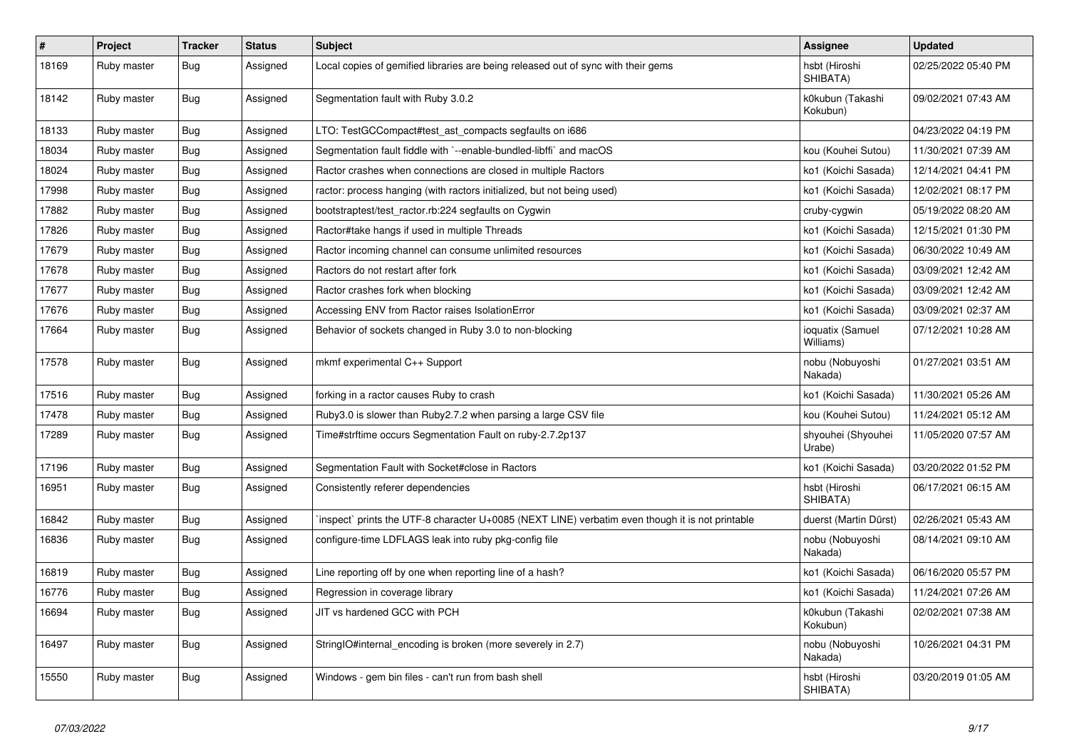| $\vert$ # | Project     | <b>Tracker</b> | <b>Status</b> | <b>Subject</b>                                                                                  | <b>Assignee</b>               | <b>Updated</b>      |
|-----------|-------------|----------------|---------------|-------------------------------------------------------------------------------------------------|-------------------------------|---------------------|
| 18169     | Ruby master | <b>Bug</b>     | Assigned      | Local copies of gemified libraries are being released out of sync with their gems               | hsbt (Hiroshi<br>SHIBATA)     | 02/25/2022 05:40 PM |
| 18142     | Ruby master | Bug            | Assigned      | Segmentation fault with Ruby 3.0.2                                                              | k0kubun (Takashi<br>Kokubun)  | 09/02/2021 07:43 AM |
| 18133     | Ruby master | <b>Bug</b>     | Assigned      | LTO: TestGCCompact#test_ast_compacts segfaults on i686                                          |                               | 04/23/2022 04:19 PM |
| 18034     | Ruby master | <b>Bug</b>     | Assigned      | Segmentation fault fiddle with `--enable-bundled-libffi` and macOS                              | kou (Kouhei Sutou)            | 11/30/2021 07:39 AM |
| 18024     | Ruby master | <b>Bug</b>     | Assigned      | Ractor crashes when connections are closed in multiple Ractors                                  | ko1 (Koichi Sasada)           | 12/14/2021 04:41 PM |
| 17998     | Ruby master | <b>Bug</b>     | Assigned      | ractor: process hanging (with ractors initialized, but not being used)                          | ko1 (Koichi Sasada)           | 12/02/2021 08:17 PM |
| 17882     | Ruby master | <b>Bug</b>     | Assigned      | bootstraptest/test_ractor.rb:224 segfaults on Cygwin                                            | cruby-cygwin                  | 05/19/2022 08:20 AM |
| 17826     | Ruby master | Bug            | Assigned      | Ractor#take hangs if used in multiple Threads                                                   | ko1 (Koichi Sasada)           | 12/15/2021 01:30 PM |
| 17679     | Ruby master | <b>Bug</b>     | Assigned      | Ractor incoming channel can consume unlimited resources                                         | ko1 (Koichi Sasada)           | 06/30/2022 10:49 AM |
| 17678     | Ruby master | <b>Bug</b>     | Assigned      | Ractors do not restart after fork                                                               | ko1 (Koichi Sasada)           | 03/09/2021 12:42 AM |
| 17677     | Ruby master | <b>Bug</b>     | Assigned      | Ractor crashes fork when blocking                                                               | ko1 (Koichi Sasada)           | 03/09/2021 12:42 AM |
| 17676     | Ruby master | Bug            | Assigned      | Accessing ENV from Ractor raises IsolationError                                                 | ko1 (Koichi Sasada)           | 03/09/2021 02:37 AM |
| 17664     | Ruby master | <b>Bug</b>     | Assigned      | Behavior of sockets changed in Ruby 3.0 to non-blocking                                         | ioquatix (Samuel<br>Williams) | 07/12/2021 10:28 AM |
| 17578     | Ruby master | <b>Bug</b>     | Assigned      | mkmf experimental C++ Support                                                                   | nobu (Nobuyoshi<br>Nakada)    | 01/27/2021 03:51 AM |
| 17516     | Ruby master | <b>Bug</b>     | Assigned      | forking in a ractor causes Ruby to crash                                                        | ko1 (Koichi Sasada)           | 11/30/2021 05:26 AM |
| 17478     | Ruby master | <b>Bug</b>     | Assigned      | Ruby3.0 is slower than Ruby2.7.2 when parsing a large CSV file                                  | kou (Kouhei Sutou)            | 11/24/2021 05:12 AM |
| 17289     | Ruby master | Bug            | Assigned      | Time#strftime occurs Segmentation Fault on ruby-2.7.2p137                                       | shyouhei (Shyouhei<br>Urabe)  | 11/05/2020 07:57 AM |
| 17196     | Ruby master | <b>Bug</b>     | Assigned      | Segmentation Fault with Socket#close in Ractors                                                 | ko1 (Koichi Sasada)           | 03/20/2022 01:52 PM |
| 16951     | Ruby master | <b>Bug</b>     | Assigned      | Consistently referer dependencies                                                               | hsbt (Hiroshi<br>SHIBATA)     | 06/17/2021 06:15 AM |
| 16842     | Ruby master | <b>Bug</b>     | Assigned      | inspect` prints the UTF-8 character U+0085 (NEXT LINE) verbatim even though it is not printable | duerst (Martin Dürst)         | 02/26/2021 05:43 AM |
| 16836     | Ruby master | <b>Bug</b>     | Assigned      | configure-time LDFLAGS leak into ruby pkg-config file                                           | nobu (Nobuyoshi<br>Nakada)    | 08/14/2021 09:10 AM |
| 16819     | Ruby master | <b>Bug</b>     | Assigned      | Line reporting off by one when reporting line of a hash?                                        | ko1 (Koichi Sasada)           | 06/16/2020 05:57 PM |
| 16776     | Ruby master | <b>Bug</b>     | Assigned      | Regression in coverage library                                                                  | ko1 (Koichi Sasada)           | 11/24/2021 07:26 AM |
| 16694     | Ruby master | <b>Bug</b>     | Assigned      | JIT vs hardened GCC with PCH                                                                    | k0kubun (Takashi<br>Kokubun)  | 02/02/2021 07:38 AM |
| 16497     | Ruby master | <b>Bug</b>     | Assigned      | StringIO#internal encoding is broken (more severely in 2.7)                                     | nobu (Nobuyoshi<br>Nakada)    | 10/26/2021 04:31 PM |
| 15550     | Ruby master | <b>Bug</b>     | Assigned      | Windows - gem bin files - can't run from bash shell                                             | hsbt (Hiroshi<br>SHIBATA)     | 03/20/2019 01:05 AM |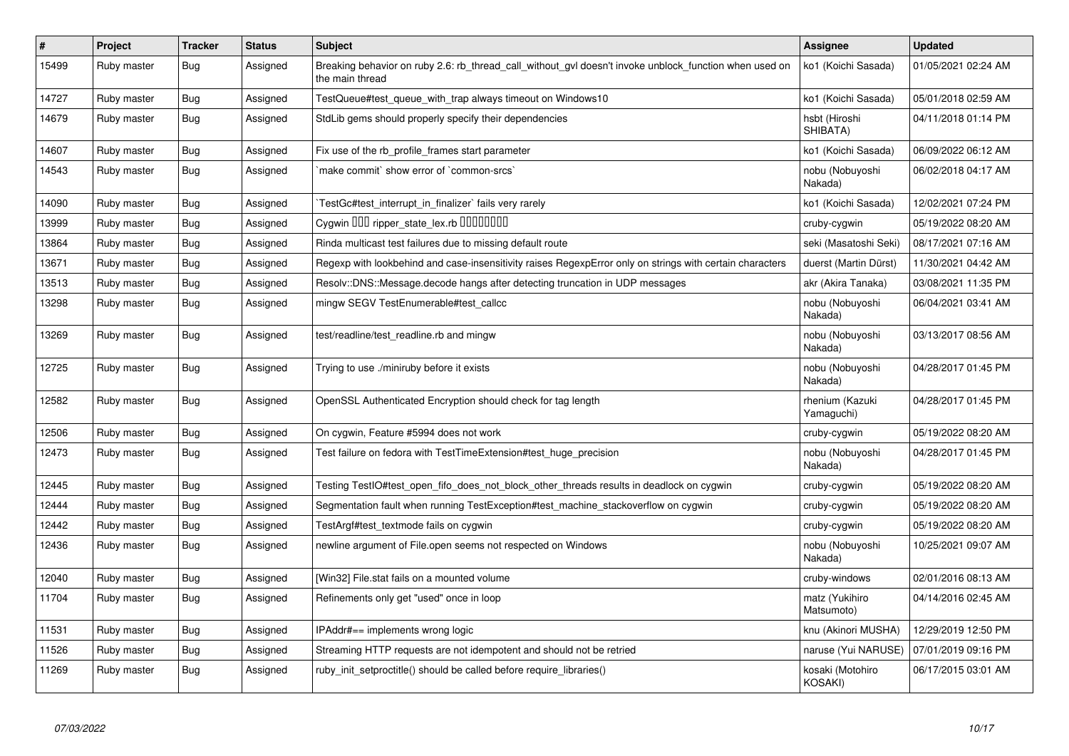| $\sharp$ | Project     | <b>Tracker</b> | <b>Status</b> | <b>Subject</b>                                                                                                            | <b>Assignee</b>               | <b>Updated</b>      |
|----------|-------------|----------------|---------------|---------------------------------------------------------------------------------------------------------------------------|-------------------------------|---------------------|
| 15499    | Ruby master | Bug            | Assigned      | Breaking behavior on ruby 2.6: rb thread call without gyl doesn't invoke unblock function when used on<br>the main thread | ko1 (Koichi Sasada)           | 01/05/2021 02:24 AM |
| 14727    | Ruby master | Bug            | Assigned      | TestQueue#test_queue_with_trap always timeout on Windows10                                                                | ko1 (Koichi Sasada)           | 05/01/2018 02:59 AM |
| 14679    | Ruby master | Bug            | Assigned      | StdLib gems should properly specify their dependencies                                                                    | hsbt (Hiroshi<br>SHIBATA)     | 04/11/2018 01:14 PM |
| 14607    | Ruby master | Bug            | Assigned      | Fix use of the rb profile frames start parameter                                                                          | ko1 (Koichi Sasada)           | 06/09/2022 06:12 AM |
| 14543    | Ruby master | <b>Bug</b>     | Assigned      | 'make commit' show error of 'common-srcs'                                                                                 | nobu (Nobuyoshi<br>Nakada)    | 06/02/2018 04:17 AM |
| 14090    | Ruby master | Bug            | Assigned      | TestGc#test interrupt in finalizer` fails very rarely                                                                     | ko1 (Koichi Sasada)           | 12/02/2021 07:24 PM |
| 13999    | Ruby master | <b>Bug</b>     | Assigned      | Cygwin DDD ripper_state_lex.rb DDDDDDDD                                                                                   | cruby-cygwin                  | 05/19/2022 08:20 AM |
| 13864    | Ruby master | <b>Bug</b>     | Assigned      | Rinda multicast test failures due to missing default route                                                                | seki (Masatoshi Seki)         | 08/17/2021 07:16 AM |
| 13671    | Ruby master | Bug            | Assigned      | Regexp with lookbehind and case-insensitivity raises RegexpError only on strings with certain characters                  | duerst (Martin Dürst)         | 11/30/2021 04:42 AM |
| 13513    | Ruby master | <b>Bug</b>     | Assigned      | Resolv::DNS::Message.decode hangs after detecting truncation in UDP messages                                              | akr (Akira Tanaka)            | 03/08/2021 11:35 PM |
| 13298    | Ruby master | <b>Bug</b>     | Assigned      | mingw SEGV TestEnumerable#test_callcc                                                                                     | nobu (Nobuyoshi<br>Nakada)    | 06/04/2021 03:41 AM |
| 13269    | Ruby master | <b>Bug</b>     | Assigned      | test/readline/test readline.rb and mingw                                                                                  | nobu (Nobuyoshi<br>Nakada)    | 03/13/2017 08:56 AM |
| 12725    | Ruby master | Bug            | Assigned      | Trying to use ./miniruby before it exists                                                                                 | nobu (Nobuyoshi<br>Nakada)    | 04/28/2017 01:45 PM |
| 12582    | Ruby master | <b>Bug</b>     | Assigned      | OpenSSL Authenticated Encryption should check for tag length                                                              | rhenium (Kazuki<br>Yamaguchi) | 04/28/2017 01:45 PM |
| 12506    | Ruby master | <b>Bug</b>     | Assigned      | On cygwin, Feature #5994 does not work                                                                                    | cruby-cygwin                  | 05/19/2022 08:20 AM |
| 12473    | Ruby master | Bug            | Assigned      | Test failure on fedora with TestTimeExtension#test huge precision                                                         | nobu (Nobuyoshi<br>Nakada)    | 04/28/2017 01:45 PM |
| 12445    | Ruby master | <b>Bug</b>     | Assigned      | Testing TestlO#test_open_fifo_does_not_block_other_threads results in deadlock on cygwin                                  | cruby-cygwin                  | 05/19/2022 08:20 AM |
| 12444    | Ruby master | Bug            | Assigned      | Segmentation fault when running TestException#test machine stackoverflow on cygwin                                        | cruby-cygwin                  | 05/19/2022 08:20 AM |
| 12442    | Ruby master | <b>Bug</b>     | Assigned      | TestArgf#test_textmode fails on cygwin                                                                                    | cruby-cygwin                  | 05/19/2022 08:20 AM |
| 12436    | Ruby master | Bug            | Assigned      | newline argument of File.open seems not respected on Windows                                                              | nobu (Nobuyoshi<br>Nakada)    | 10/25/2021 09:07 AM |
| 12040    | Ruby master | <b>Bug</b>     | Assigned      | [Win32] File.stat fails on a mounted volume                                                                               | cruby-windows                 | 02/01/2016 08:13 AM |
| 11704    | Ruby master | Bug            | Assigned      | Refinements only get "used" once in loop                                                                                  | matz (Yukihiro<br>Matsumoto)  | 04/14/2016 02:45 AM |
| 11531    | Ruby master | Bug            | Assigned      | IPAddr#== implements wrong logic                                                                                          | knu (Akinori MUSHA)           | 12/29/2019 12:50 PM |
| 11526    | Ruby master | Bug            | Assigned      | Streaming HTTP requests are not idempotent and should not be retried                                                      | naruse (Yui NARUSE)           | 07/01/2019 09:16 PM |
| 11269    | Ruby master | <b>Bug</b>     | Assigned      | ruby_init_setproctitle() should be called before require_libraries()                                                      | kosaki (Motohiro<br>KOSAKI)   | 06/17/2015 03:01 AM |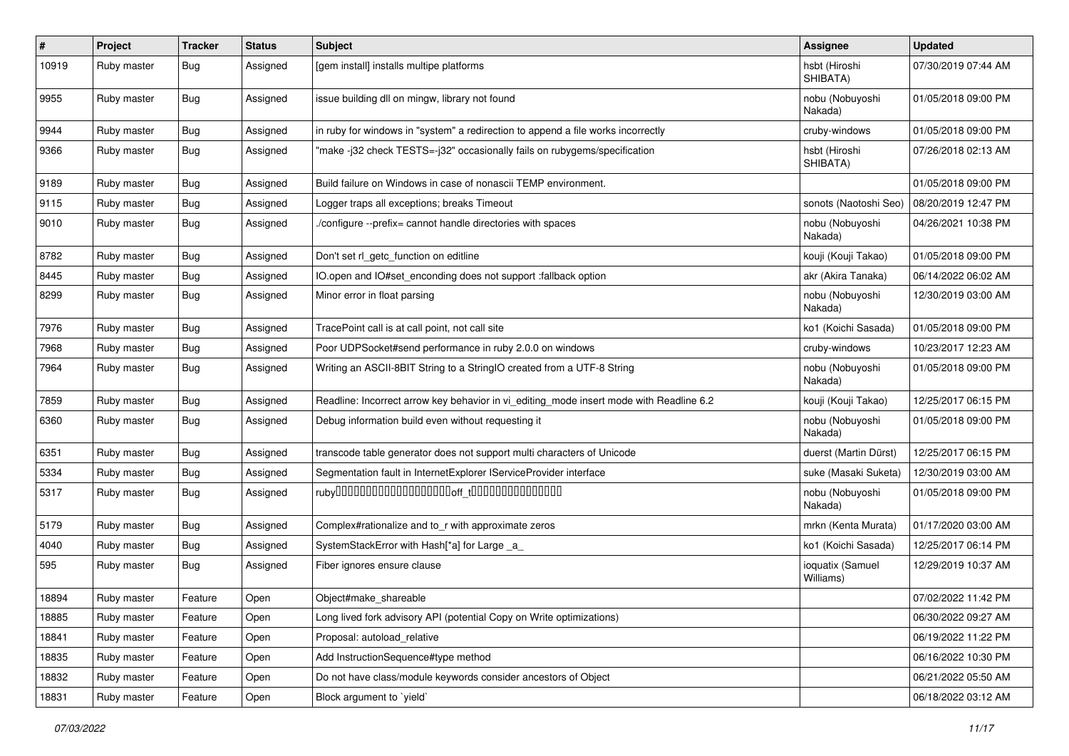| $\vert$ # | Project     | <b>Tracker</b> | <b>Status</b> | <b>Subject</b>                                                                          | Assignee                      | <b>Updated</b>      |
|-----------|-------------|----------------|---------------|-----------------------------------------------------------------------------------------|-------------------------------|---------------------|
| 10919     | Ruby master | <b>Bug</b>     | Assigned      | [gem install] installs multipe platforms                                                | hsbt (Hiroshi<br>SHIBATA)     | 07/30/2019 07:44 AM |
| 9955      | Ruby master | <b>Bug</b>     | Assigned      | issue building dll on mingw, library not found                                          | nobu (Nobuyoshi<br>Nakada)    | 01/05/2018 09:00 PM |
| 9944      | Ruby master | <b>Bug</b>     | Assigned      | in ruby for windows in "system" a redirection to append a file works incorrectly        | cruby-windows                 | 01/05/2018 09:00 PM |
| 9366      | Ruby master | <b>Bug</b>     | Assigned      | 'make-j32 check TESTS=-j32" occasionally fails on rubygems/specification                | hsbt (Hiroshi<br>SHIBATA)     | 07/26/2018 02:13 AM |
| 9189      | Ruby master | <b>Bug</b>     | Assigned      | Build failure on Windows in case of nonascii TEMP environment.                          |                               | 01/05/2018 09:00 PM |
| 9115      | Ruby master | <b>Bug</b>     | Assigned      | Logger traps all exceptions; breaks Timeout                                             | sonots (Naotoshi Seo)         | 08/20/2019 12:47 PM |
| 9010      | Ruby master | <b>Bug</b>     | Assigned      | /configure --prefix= cannot handle directories with spaces                              | nobu (Nobuyoshi<br>Nakada)    | 04/26/2021 10:38 PM |
| 8782      | Ruby master | <b>Bug</b>     | Assigned      | Don't set rl_getc_function on editline                                                  | kouji (Kouji Takao)           | 01/05/2018 09:00 PM |
| 8445      | Ruby master | <b>Bug</b>     | Assigned      | IO.open and IO#set_enconding does not support :fallback option                          | akr (Akira Tanaka)            | 06/14/2022 06:02 AM |
| 8299      | Ruby master | <b>Bug</b>     | Assigned      | Minor error in float parsing                                                            | nobu (Nobuyoshi<br>Nakada)    | 12/30/2019 03:00 AM |
| 7976      | Ruby master | <b>Bug</b>     | Assigned      | TracePoint call is at call point, not call site                                         | ko1 (Koichi Sasada)           | 01/05/2018 09:00 PM |
| 7968      | Ruby master | <b>Bug</b>     | Assigned      | Poor UDPSocket#send performance in ruby 2.0.0 on windows                                | cruby-windows                 | 10/23/2017 12:23 AM |
| 7964      | Ruby master | <b>Bug</b>     | Assigned      | Writing an ASCII-8BIT String to a StringIO created from a UTF-8 String                  | nobu (Nobuyoshi<br>Nakada)    | 01/05/2018 09:00 PM |
| 7859      | Ruby master | <b>Bug</b>     | Assigned      | Readline: Incorrect arrow key behavior in vi_editing_mode insert mode with Readline 6.2 | kouji (Kouji Takao)           | 12/25/2017 06:15 PM |
| 6360      | Ruby master | <b>Bug</b>     | Assigned      | Debug information build even without requesting it                                      | nobu (Nobuyoshi<br>Nakada)    | 01/05/2018 09:00 PM |
| 6351      | Ruby master | <b>Bug</b>     | Assigned      | transcode table generator does not support multi characters of Unicode                  | duerst (Martin Dürst)         | 12/25/2017 06:15 PM |
| 5334      | Ruby master | <b>Bug</b>     | Assigned      | Segmentation fault in InternetExplorer IServiceProvider interface                       | suke (Masaki Suketa)          | 12/30/2019 03:00 AM |
| 5317      | Ruby master | <b>Bug</b>     | Assigned      |                                                                                         | nobu (Nobuyoshi<br>Nakada)    | 01/05/2018 09:00 PM |
| 5179      | Ruby master | <b>Bug</b>     | Assigned      | Complex#rationalize and to_r with approximate zeros                                     | mrkn (Kenta Murata)           | 01/17/2020 03:00 AM |
| 4040      | Ruby master | <b>Bug</b>     | Assigned      | SystemStackError with Hash[*a] for Large _a_                                            | ko1 (Koichi Sasada)           | 12/25/2017 06:14 PM |
| 595       | Ruby master | <b>Bug</b>     | Assigned      | Fiber ignores ensure clause                                                             | ioquatix (Samuel<br>Williams) | 12/29/2019 10:37 AM |
| 18894     | Ruby master | Feature        | Open          | Object#make shareable                                                                   |                               | 07/02/2022 11:42 PM |
| 18885     | Ruby master | Feature        | Open          | Long lived fork advisory API (potential Copy on Write optimizations)                    |                               | 06/30/2022 09:27 AM |
| 18841     | Ruby master | Feature        | Open          | Proposal: autoload_relative                                                             |                               | 06/19/2022 11:22 PM |
| 18835     | Ruby master | Feature        | Open          | Add InstructionSequence#type method                                                     |                               | 06/16/2022 10:30 PM |
| 18832     | Ruby master | Feature        | Open          | Do not have class/module keywords consider ancestors of Object                          |                               | 06/21/2022 05:50 AM |
| 18831     | Ruby master | Feature        | Open          | Block argument to 'yield'                                                               |                               | 06/18/2022 03:12 AM |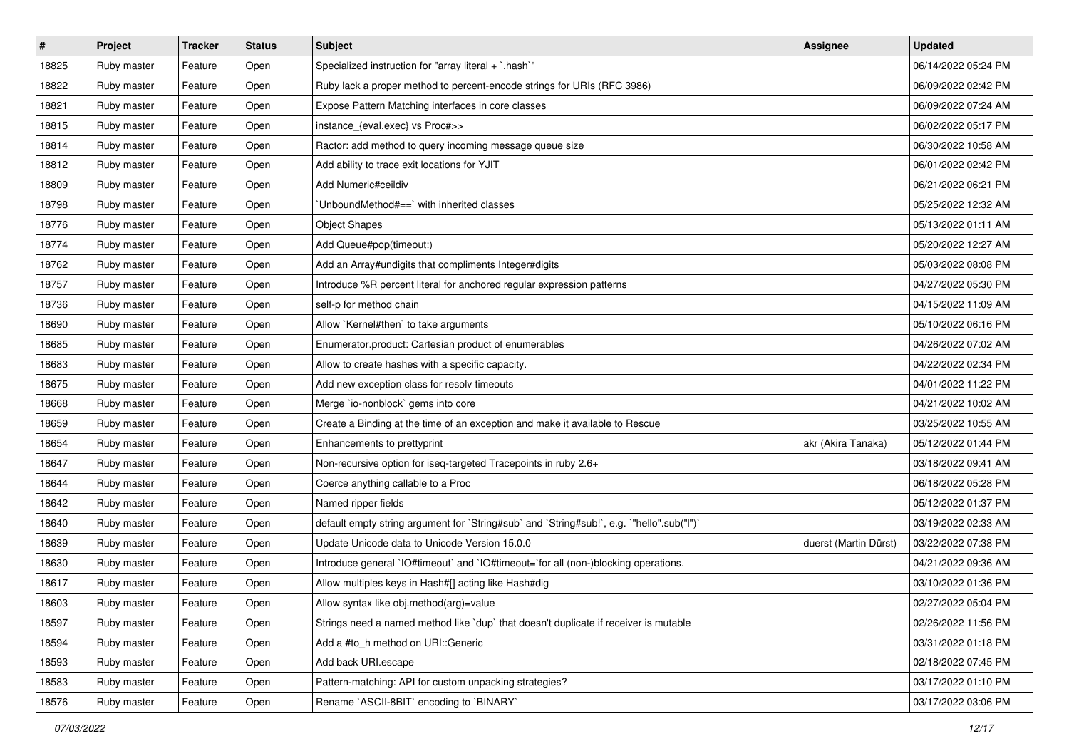| $\vert$ # | Project     | <b>Tracker</b> | <b>Status</b> | Subject                                                                                   | <b>Assignee</b>       | <b>Updated</b>      |
|-----------|-------------|----------------|---------------|-------------------------------------------------------------------------------------------|-----------------------|---------------------|
| 18825     | Ruby master | Feature        | Open          | Specialized instruction for "array literal $+$ `.hash`"                                   |                       | 06/14/2022 05:24 PM |
| 18822     | Ruby master | Feature        | Open          | Ruby lack a proper method to percent-encode strings for URIs (RFC 3986)                   |                       | 06/09/2022 02:42 PM |
| 18821     | Ruby master | Feature        | Open          | Expose Pattern Matching interfaces in core classes                                        |                       | 06/09/2022 07:24 AM |
| 18815     | Ruby master | Feature        | Open          | instance_{eval,exec} vs Proc#>>                                                           |                       | 06/02/2022 05:17 PM |
| 18814     | Ruby master | Feature        | Open          | Ractor: add method to query incoming message queue size                                   |                       | 06/30/2022 10:58 AM |
| 18812     | Ruby master | Feature        | Open          | Add ability to trace exit locations for YJIT                                              |                       | 06/01/2022 02:42 PM |
| 18809     | Ruby master | Feature        | Open          | Add Numeric#ceildiv                                                                       |                       | 06/21/2022 06:21 PM |
| 18798     | Ruby master | Feature        | Open          | 'UnboundMethod#==' with inherited classes                                                 |                       | 05/25/2022 12:32 AM |
| 18776     | Ruby master | Feature        | Open          | <b>Object Shapes</b>                                                                      |                       | 05/13/2022 01:11 AM |
| 18774     | Ruby master | Feature        | Open          | Add Queue#pop(timeout:)                                                                   |                       | 05/20/2022 12:27 AM |
| 18762     | Ruby master | Feature        | Open          | Add an Array#undigits that compliments Integer#digits                                     |                       | 05/03/2022 08:08 PM |
| 18757     | Ruby master | Feature        | Open          | Introduce %R percent literal for anchored regular expression patterns                     |                       | 04/27/2022 05:30 PM |
| 18736     | Ruby master | Feature        | Open          | self-p for method chain                                                                   |                       | 04/15/2022 11:09 AM |
| 18690     | Ruby master | Feature        | Open          | Allow `Kernel#then` to take arguments                                                     |                       | 05/10/2022 06:16 PM |
| 18685     | Ruby master | Feature        | Open          | Enumerator.product: Cartesian product of enumerables                                      |                       | 04/26/2022 07:02 AM |
| 18683     | Ruby master | Feature        | Open          | Allow to create hashes with a specific capacity.                                          |                       | 04/22/2022 02:34 PM |
| 18675     | Ruby master | Feature        | Open          | Add new exception class for resolv timeouts                                               |                       | 04/01/2022 11:22 PM |
| 18668     | Ruby master | Feature        | Open          | Merge `io-nonblock` gems into core                                                        |                       | 04/21/2022 10:02 AM |
| 18659     | Ruby master | Feature        | Open          | Create a Binding at the time of an exception and make it available to Rescue              |                       | 03/25/2022 10:55 AM |
| 18654     | Ruby master | Feature        | Open          | Enhancements to prettyprint                                                               | akr (Akira Tanaka)    | 05/12/2022 01:44 PM |
| 18647     | Ruby master | Feature        | Open          | Non-recursive option for iseq-targeted Tracepoints in ruby 2.6+                           |                       | 03/18/2022 09:41 AM |
| 18644     | Ruby master | Feature        | Open          | Coerce anything callable to a Proc                                                        |                       | 06/18/2022 05:28 PM |
| 18642     | Ruby master | Feature        | Open          | Named ripper fields                                                                       |                       | 05/12/2022 01:37 PM |
| 18640     | Ruby master | Feature        | Open          | default empty string argument for `String#sub` and `String#sub!`, e.g. `"hello".sub("I")` |                       | 03/19/2022 02:33 AM |
| 18639     | Ruby master | Feature        | Open          | Update Unicode data to Unicode Version 15.0.0                                             | duerst (Martin Dürst) | 03/22/2022 07:38 PM |
| 18630     | Ruby master | Feature        | Open          | Introduce general `IO#timeout` and `IO#timeout=`for all (non-)blocking operations.        |                       | 04/21/2022 09:36 AM |
| 18617     | Ruby master | Feature        | Open          | Allow multiples keys in Hash#[] acting like Hash#dig                                      |                       | 03/10/2022 01:36 PM |
| 18603     | Ruby master | Feature        | Open          | Allow syntax like obj.method(arg)=value                                                   |                       | 02/27/2022 05:04 PM |
| 18597     | Ruby master | Feature        | Open          | Strings need a named method like 'dup' that doesn't duplicate if receiver is mutable      |                       | 02/26/2022 11:56 PM |
| 18594     | Ruby master | Feature        | Open          | Add a #to h method on URI::Generic                                                        |                       | 03/31/2022 01:18 PM |
| 18593     | Ruby master | Feature        | Open          | Add back URI.escape                                                                       |                       | 02/18/2022 07:45 PM |
| 18583     | Ruby master | Feature        | Open          | Pattern-matching: API for custom unpacking strategies?                                    |                       | 03/17/2022 01:10 PM |
| 18576     | Ruby master | Feature        | Open          | Rename `ASCII-8BIT` encoding to `BINARY`                                                  |                       | 03/17/2022 03:06 PM |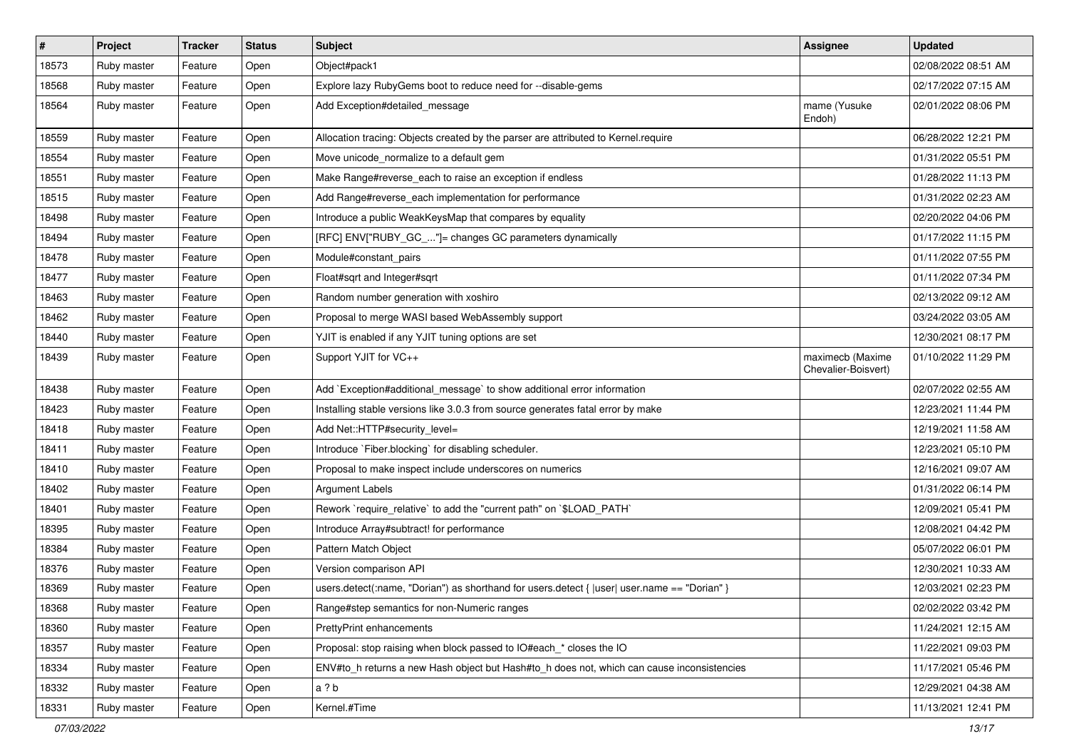| $\sharp$ | Project     | <b>Tracker</b> | <b>Status</b> | Subject                                                                                      | Assignee                                | <b>Updated</b>      |
|----------|-------------|----------------|---------------|----------------------------------------------------------------------------------------------|-----------------------------------------|---------------------|
| 18573    | Ruby master | Feature        | Open          | Object#pack1                                                                                 |                                         | 02/08/2022 08:51 AM |
| 18568    | Ruby master | Feature        | Open          | Explore lazy RubyGems boot to reduce need for --disable-gems                                 |                                         | 02/17/2022 07:15 AM |
| 18564    | Ruby master | Feature        | Open          | Add Exception#detailed_message                                                               | mame (Yusuke<br>Endoh)                  | 02/01/2022 08:06 PM |
| 18559    | Ruby master | Feature        | Open          | Allocation tracing: Objects created by the parser are attributed to Kernel.require           |                                         | 06/28/2022 12:21 PM |
| 18554    | Ruby master | Feature        | Open          | Move unicode_normalize to a default gem                                                      |                                         | 01/31/2022 05:51 PM |
| 18551    | Ruby master | Feature        | Open          | Make Range#reverse_each to raise an exception if endless                                     |                                         | 01/28/2022 11:13 PM |
| 18515    | Ruby master | Feature        | Open          | Add Range#reverse each implementation for performance                                        |                                         | 01/31/2022 02:23 AM |
| 18498    | Ruby master | Feature        | Open          | Introduce a public WeakKeysMap that compares by equality                                     |                                         | 02/20/2022 04:06 PM |
| 18494    | Ruby master | Feature        | Open          | [RFC] ENV["RUBY_GC_"]= changes GC parameters dynamically                                     |                                         | 01/17/2022 11:15 PM |
| 18478    | Ruby master | Feature        | Open          | Module#constant_pairs                                                                        |                                         | 01/11/2022 07:55 PM |
| 18477    | Ruby master | Feature        | Open          | Float#sqrt and Integer#sqrt                                                                  |                                         | 01/11/2022 07:34 PM |
| 18463    | Ruby master | Feature        | Open          | Random number generation with xoshiro                                                        |                                         | 02/13/2022 09:12 AM |
| 18462    | Ruby master | Feature        | Open          | Proposal to merge WASI based WebAssembly support                                             |                                         | 03/24/2022 03:05 AM |
| 18440    | Ruby master | Feature        | Open          | YJIT is enabled if any YJIT tuning options are set                                           |                                         | 12/30/2021 08:17 PM |
| 18439    | Ruby master | Feature        | Open          | Support YJIT for VC++                                                                        | maximecb (Maxime<br>Chevalier-Boisvert) | 01/10/2022 11:29 PM |
| 18438    | Ruby master | Feature        | Open          | Add `Exception#additional_message` to show additional error information                      |                                         | 02/07/2022 02:55 AM |
| 18423    | Ruby master | Feature        | Open          | Installing stable versions like 3.0.3 from source generates fatal error by make              |                                         | 12/23/2021 11:44 PM |
| 18418    | Ruby master | Feature        | Open          | Add Net::HTTP#security_level=                                                                |                                         | 12/19/2021 11:58 AM |
| 18411    | Ruby master | Feature        | Open          | Introduce `Fiber.blocking` for disabling scheduler.                                          |                                         | 12/23/2021 05:10 PM |
| 18410    | Ruby master | Feature        | Open          | Proposal to make inspect include underscores on numerics                                     |                                         | 12/16/2021 09:07 AM |
| 18402    | Ruby master | Feature        | Open          | <b>Argument Labels</b>                                                                       |                                         | 01/31/2022 06:14 PM |
| 18401    | Ruby master | Feature        | Open          | Rework `require_relative` to add the "current path" on `\$LOAD_PATH`                         |                                         | 12/09/2021 05:41 PM |
| 18395    | Ruby master | Feature        | Open          | Introduce Array#subtract! for performance                                                    |                                         | 12/08/2021 04:42 PM |
| 18384    | Ruby master | Feature        | Open          | Pattern Match Object                                                                         |                                         | 05/07/2022 06:01 PM |
| 18376    | Ruby master | Feature        | Open          | Version comparison API                                                                       |                                         | 12/30/2021 10:33 AM |
| 18369    | Ruby master | Feature        | Open          | users.detect(:name, "Dorian") as shorthand for users.detect {  user  user.name == "Dorian" } |                                         | 12/03/2021 02:23 PM |
| 18368    | Ruby master | Feature        | Open          | Range#step semantics for non-Numeric ranges                                                  |                                         | 02/02/2022 03:42 PM |
| 18360    | Ruby master | Feature        | Open          | PrettyPrint enhancements                                                                     |                                         | 11/24/2021 12:15 AM |
| 18357    | Ruby master | Feature        | Open          | Proposal: stop raising when block passed to IO#each_* closes the IO                          |                                         | 11/22/2021 09:03 PM |
| 18334    | Ruby master | Feature        | Open          | ENV#to h returns a new Hash object but Hash#to h does not, which can cause inconsistencies   |                                         | 11/17/2021 05:46 PM |
| 18332    | Ruby master | Feature        | Open          | a ? b                                                                                        |                                         | 12/29/2021 04:38 AM |
| 18331    | Ruby master | Feature        | Open          | Kernel.#Time                                                                                 |                                         | 11/13/2021 12:41 PM |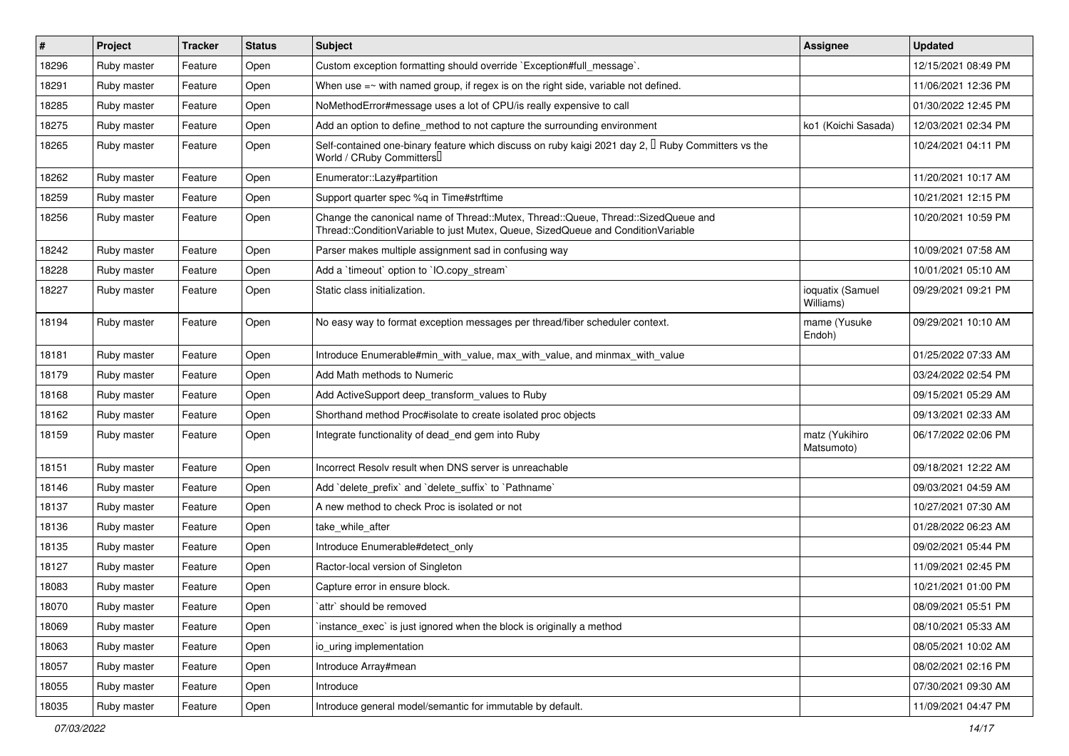| $\vert$ # | Project     | <b>Tracker</b> | <b>Status</b> | Subject                                                                                                                                                               | Assignee                      | <b>Updated</b>      |
|-----------|-------------|----------------|---------------|-----------------------------------------------------------------------------------------------------------------------------------------------------------------------|-------------------------------|---------------------|
| 18296     | Ruby master | Feature        | Open          | Custom exception formatting should override `Exception#full_message`.                                                                                                 |                               | 12/15/2021 08:49 PM |
| 18291     | Ruby master | Feature        | Open          | When use $=\sim$ with named group, if regex is on the right side, variable not defined.                                                                               |                               | 11/06/2021 12:36 PM |
| 18285     | Ruby master | Feature        | Open          | NoMethodError#message uses a lot of CPU/is really expensive to call                                                                                                   |                               | 01/30/2022 12:45 PM |
| 18275     | Ruby master | Feature        | Open          | Add an option to define_method to not capture the surrounding environment                                                                                             | ko1 (Koichi Sasada)           | 12/03/2021 02:34 PM |
| 18265     | Ruby master | Feature        | Open          | Self-contained one-binary feature which discuss on ruby kaigi 2021 day 2, $\mathbb I$ Ruby Committers vs the<br>World / CRuby Committers                              |                               | 10/24/2021 04:11 PM |
| 18262     | Ruby master | Feature        | Open          | Enumerator::Lazy#partition                                                                                                                                            |                               | 11/20/2021 10:17 AM |
| 18259     | Ruby master | Feature        | Open          | Support quarter spec %q in Time#strftime                                                                                                                              |                               | 10/21/2021 12:15 PM |
| 18256     | Ruby master | Feature        | Open          | Change the canonical name of Thread::Mutex, Thread::Queue, Thread::SizedQueue and<br>Thread::ConditionVariable to just Mutex, Queue, SizedQueue and ConditionVariable |                               | 10/20/2021 10:59 PM |
| 18242     | Ruby master | Feature        | Open          | Parser makes multiple assignment sad in confusing way                                                                                                                 |                               | 10/09/2021 07:58 AM |
| 18228     | Ruby master | Feature        | Open          | Add a 'timeout' option to 'IO.copy_stream'                                                                                                                            |                               | 10/01/2021 05:10 AM |
| 18227     | Ruby master | Feature        | Open          | Static class initialization.                                                                                                                                          | ioquatix (Samuel<br>Williams) | 09/29/2021 09:21 PM |
| 18194     | Ruby master | Feature        | Open          | No easy way to format exception messages per thread/fiber scheduler context.                                                                                          | mame (Yusuke<br>Endoh)        | 09/29/2021 10:10 AM |
| 18181     | Ruby master | Feature        | Open          | Introduce Enumerable#min with value, max with value, and minmax with value                                                                                            |                               | 01/25/2022 07:33 AM |
| 18179     | Ruby master | Feature        | Open          | Add Math methods to Numeric                                                                                                                                           |                               | 03/24/2022 02:54 PM |
| 18168     | Ruby master | Feature        | Open          | Add ActiveSupport deep_transform_values to Ruby                                                                                                                       |                               | 09/15/2021 05:29 AM |
| 18162     | Ruby master | Feature        | Open          | Shorthand method Proc#isolate to create isolated proc objects                                                                                                         |                               | 09/13/2021 02:33 AM |
| 18159     | Ruby master | Feature        | Open          | Integrate functionality of dead_end gem into Ruby                                                                                                                     | matz (Yukihiro<br>Matsumoto)  | 06/17/2022 02:06 PM |
| 18151     | Ruby master | Feature        | Open          | Incorrect Resolv result when DNS server is unreachable                                                                                                                |                               | 09/18/2021 12:22 AM |
| 18146     | Ruby master | Feature        | Open          | Add 'delete_prefix' and 'delete_suffix' to 'Pathname'                                                                                                                 |                               | 09/03/2021 04:59 AM |
| 18137     | Ruby master | Feature        | Open          | A new method to check Proc is isolated or not                                                                                                                         |                               | 10/27/2021 07:30 AM |
| 18136     | Ruby master | Feature        | Open          | take while after                                                                                                                                                      |                               | 01/28/2022 06:23 AM |
| 18135     | Ruby master | Feature        | Open          | Introduce Enumerable#detect_only                                                                                                                                      |                               | 09/02/2021 05:44 PM |
| 18127     | Ruby master | Feature        | Open          | Ractor-local version of Singleton                                                                                                                                     |                               | 11/09/2021 02:45 PM |
| 18083     | Ruby master | Feature        | Open          | Capture error in ensure block.                                                                                                                                        |                               | 10/21/2021 01:00 PM |
| 18070     | Ruby master | Feature        | Open          | attr` should be removed                                                                                                                                               |                               | 08/09/2021 05:51 PM |
| 18069     | Ruby master | Feature        | Open          | instance exec is just ignored when the block is originally a method                                                                                                   |                               | 08/10/2021 05:33 AM |
| 18063     | Ruby master | Feature        | Open          | io uring implementation                                                                                                                                               |                               | 08/05/2021 10:02 AM |
| 18057     | Ruby master | Feature        | Open          | Introduce Array#mean                                                                                                                                                  |                               | 08/02/2021 02:16 PM |
| 18055     | Ruby master | Feature        | Open          | Introduce                                                                                                                                                             |                               | 07/30/2021 09:30 AM |
| 18035     | Ruby master | Feature        | Open          | Introduce general model/semantic for immutable by default.                                                                                                            |                               | 11/09/2021 04:47 PM |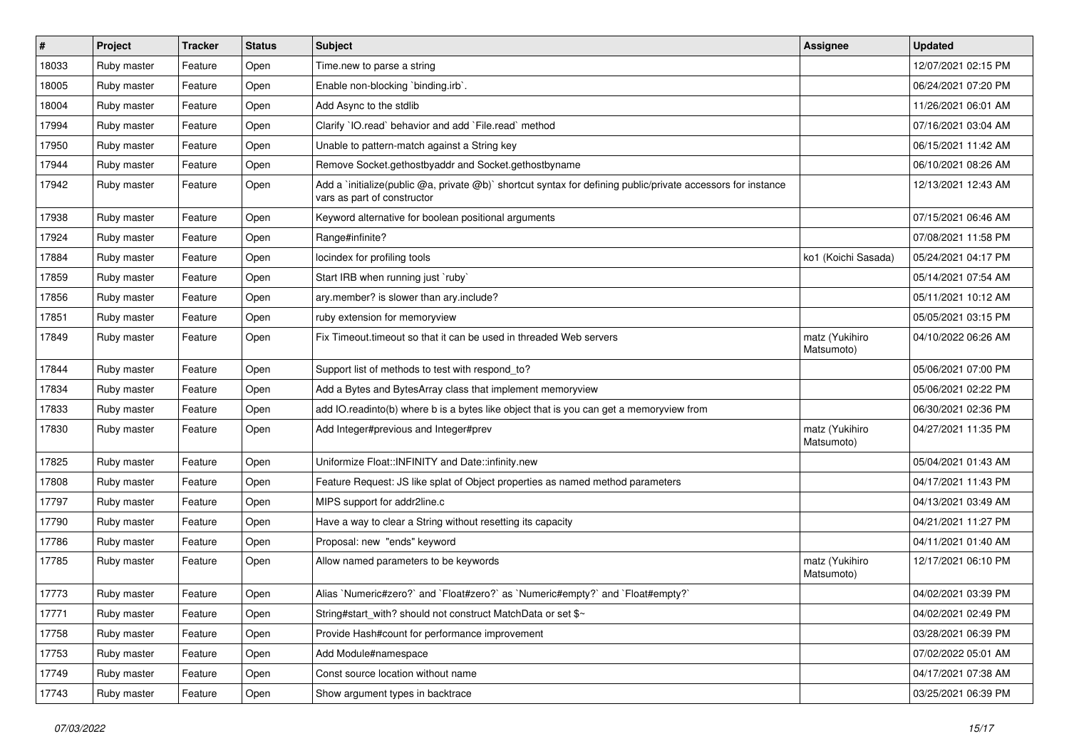| #     | Project     | <b>Tracker</b> | <b>Status</b> | Subject                                                                                                                                     | <b>Assignee</b>              | <b>Updated</b>      |
|-------|-------------|----------------|---------------|---------------------------------------------------------------------------------------------------------------------------------------------|------------------------------|---------------------|
| 18033 | Ruby master | Feature        | Open          | Time.new to parse a string                                                                                                                  |                              | 12/07/2021 02:15 PM |
| 18005 | Ruby master | Feature        | Open          | Enable non-blocking `binding.irb`.                                                                                                          |                              | 06/24/2021 07:20 PM |
| 18004 | Ruby master | Feature        | Open          | Add Async to the stdlib                                                                                                                     |                              | 11/26/2021 06:01 AM |
| 17994 | Ruby master | Feature        | Open          | Clarify 'IO.read' behavior and add 'File.read' method                                                                                       |                              | 07/16/2021 03:04 AM |
| 17950 | Ruby master | Feature        | Open          | Unable to pattern-match against a String key                                                                                                |                              | 06/15/2021 11:42 AM |
| 17944 | Ruby master | Feature        | Open          | Remove Socket.gethostbyaddr and Socket.gethostbyname                                                                                        |                              | 06/10/2021 08:26 AM |
| 17942 | Ruby master | Feature        | Open          | Add a `initialize(public @a, private @b)` shortcut syntax for defining public/private accessors for instance<br>vars as part of constructor |                              | 12/13/2021 12:43 AM |
| 17938 | Ruby master | Feature        | Open          | Keyword alternative for boolean positional arguments                                                                                        |                              | 07/15/2021 06:46 AM |
| 17924 | Ruby master | Feature        | Open          | Range#infinite?                                                                                                                             |                              | 07/08/2021 11:58 PM |
| 17884 | Ruby master | Feature        | Open          | locindex for profiling tools                                                                                                                | ko1 (Koichi Sasada)          | 05/24/2021 04:17 PM |
| 17859 | Ruby master | Feature        | Open          | Start IRB when running just `ruby`                                                                                                          |                              | 05/14/2021 07:54 AM |
| 17856 | Ruby master | Feature        | Open          | ary.member? is slower than ary.include?                                                                                                     |                              | 05/11/2021 10:12 AM |
| 17851 | Ruby master | Feature        | Open          | ruby extension for memoryview                                                                                                               |                              | 05/05/2021 03:15 PM |
| 17849 | Ruby master | Feature        | Open          | Fix Timeout timeout so that it can be used in threaded Web servers                                                                          | matz (Yukihiro<br>Matsumoto) | 04/10/2022 06:26 AM |
| 17844 | Ruby master | Feature        | Open          | Support list of methods to test with respond_to?                                                                                            |                              | 05/06/2021 07:00 PM |
| 17834 | Ruby master | Feature        | Open          | Add a Bytes and BytesArray class that implement memoryview                                                                                  |                              | 05/06/2021 02:22 PM |
| 17833 | Ruby master | Feature        | Open          | add IO.readinto(b) where b is a bytes like object that is you can get a memoryview from                                                     |                              | 06/30/2021 02:36 PM |
| 17830 | Ruby master | Feature        | Open          | Add Integer#previous and Integer#prev                                                                                                       | matz (Yukihiro<br>Matsumoto) | 04/27/2021 11:35 PM |
| 17825 | Ruby master | Feature        | Open          | Uniformize Float::INFINITY and Date::infinity.new                                                                                           |                              | 05/04/2021 01:43 AM |
| 17808 | Ruby master | Feature        | Open          | Feature Request: JS like splat of Object properties as named method parameters                                                              |                              | 04/17/2021 11:43 PM |
| 17797 | Ruby master | Feature        | Open          | MIPS support for addr2line.c                                                                                                                |                              | 04/13/2021 03:49 AM |
| 17790 | Ruby master | Feature        | Open          | Have a way to clear a String without resetting its capacity                                                                                 |                              | 04/21/2021 11:27 PM |
| 17786 | Ruby master | Feature        | Open          | Proposal: new "ends" keyword                                                                                                                |                              | 04/11/2021 01:40 AM |
| 17785 | Ruby master | Feature        | Open          | Allow named parameters to be keywords                                                                                                       | matz (Yukihiro<br>Matsumoto) | 12/17/2021 06:10 PM |
| 17773 | Ruby master | Feature        | Open          | Alias `Numeric#zero?` and `Float#zero?` as `Numeric#empty?` and `Float#empty?`                                                              |                              | 04/02/2021 03:39 PM |
| 17771 | Ruby master | Feature        | Open          | String#start_with? should not construct MatchData or set \$~                                                                                |                              | 04/02/2021 02:49 PM |
| 17758 | Ruby master | Feature        | Open          | Provide Hash#count for performance improvement                                                                                              |                              | 03/28/2021 06:39 PM |
| 17753 | Ruby master | Feature        | Open          | Add Module#namespace                                                                                                                        |                              | 07/02/2022 05:01 AM |
| 17749 | Ruby master | Feature        | Open          | Const source location without name                                                                                                          |                              | 04/17/2021 07:38 AM |
| 17743 | Ruby master | Feature        | Open          | Show argument types in backtrace                                                                                                            |                              | 03/25/2021 06:39 PM |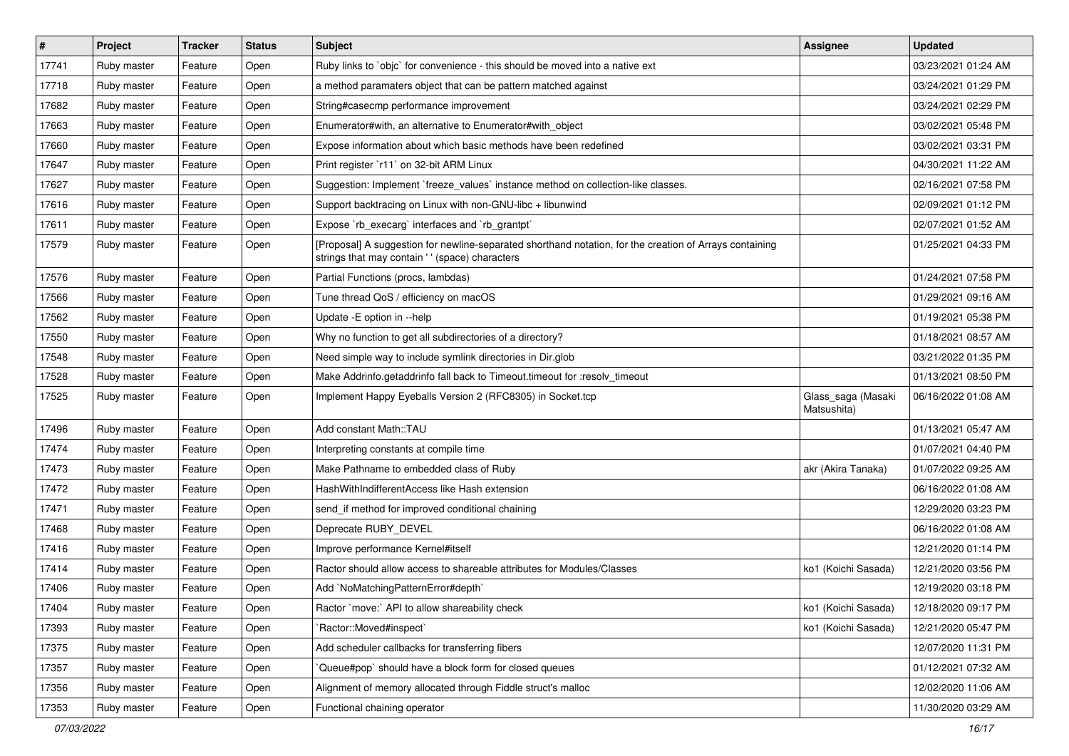| $\vert$ # | Project     | <b>Tracker</b> | <b>Status</b> | Subject                                                                                                                                                   | <b>Assignee</b>                   | <b>Updated</b>      |
|-----------|-------------|----------------|---------------|-----------------------------------------------------------------------------------------------------------------------------------------------------------|-----------------------------------|---------------------|
| 17741     | Ruby master | Feature        | Open          | Ruby links to `objc` for convenience - this should be moved into a native ext                                                                             |                                   | 03/23/2021 01:24 AM |
| 17718     | Ruby master | Feature        | Open          | a method paramaters object that can be pattern matched against                                                                                            |                                   | 03/24/2021 01:29 PM |
| 17682     | Ruby master | Feature        | Open          | String#casecmp performance improvement                                                                                                                    |                                   | 03/24/2021 02:29 PM |
| 17663     | Ruby master | Feature        | Open          | Enumerator#with, an alternative to Enumerator#with_object                                                                                                 |                                   | 03/02/2021 05:48 PM |
| 17660     | Ruby master | Feature        | Open          | Expose information about which basic methods have been redefined                                                                                          |                                   | 03/02/2021 03:31 PM |
| 17647     | Ruby master | Feature        | Open          | Print register `r11` on 32-bit ARM Linux                                                                                                                  |                                   | 04/30/2021 11:22 AM |
| 17627     | Ruby master | Feature        | Open          | Suggestion: Implement `freeze_values` instance method on collection-like classes.                                                                         |                                   | 02/16/2021 07:58 PM |
| 17616     | Ruby master | Feature        | Open          | Support backtracing on Linux with non-GNU-libc + libunwind                                                                                                |                                   | 02/09/2021 01:12 PM |
| 17611     | Ruby master | Feature        | Open          | Expose `rb_execarg` interfaces and `rb_grantpt`                                                                                                           |                                   | 02/07/2021 01:52 AM |
| 17579     | Ruby master | Feature        | Open          | [Proposal] A suggestion for newline-separated shorthand notation, for the creation of Arrays containing<br>strings that may contain '' (space) characters |                                   | 01/25/2021 04:33 PM |
| 17576     | Ruby master | Feature        | Open          | Partial Functions (procs, lambdas)                                                                                                                        |                                   | 01/24/2021 07:58 PM |
| 17566     | Ruby master | Feature        | Open          | Tune thread QoS / efficiency on macOS                                                                                                                     |                                   | 01/29/2021 09:16 AM |
| 17562     | Ruby master | Feature        | Open          | Update -E option in --help                                                                                                                                |                                   | 01/19/2021 05:38 PM |
| 17550     | Ruby master | Feature        | Open          | Why no function to get all subdirectories of a directory?                                                                                                 |                                   | 01/18/2021 08:57 AM |
| 17548     | Ruby master | Feature        | Open          | Need simple way to include symlink directories in Dir.glob                                                                                                |                                   | 03/21/2022 01:35 PM |
| 17528     | Ruby master | Feature        | Open          | Make Addrinfo.getaddrinfo fall back to Timeout.timeout for :resolv_timeout                                                                                |                                   | 01/13/2021 08:50 PM |
| 17525     | Ruby master | Feature        | Open          | Implement Happy Eyeballs Version 2 (RFC8305) in Socket.tcp                                                                                                | Glass_saga (Masaki<br>Matsushita) | 06/16/2022 01:08 AM |
| 17496     | Ruby master | Feature        | Open          | Add constant Math::TAU                                                                                                                                    |                                   | 01/13/2021 05:47 AM |
| 17474     | Ruby master | Feature        | Open          | Interpreting constants at compile time                                                                                                                    |                                   | 01/07/2021 04:40 PM |
| 17473     | Ruby master | Feature        | Open          | Make Pathname to embedded class of Ruby                                                                                                                   | akr (Akira Tanaka)                | 01/07/2022 09:25 AM |
| 17472     | Ruby master | Feature        | Open          | HashWithIndifferentAccess like Hash extension                                                                                                             |                                   | 06/16/2022 01:08 AM |
| 17471     | Ruby master | Feature        | Open          | send_if method for improved conditional chaining                                                                                                          |                                   | 12/29/2020 03:23 PM |
| 17468     | Ruby master | Feature        | Open          | Deprecate RUBY_DEVEL                                                                                                                                      |                                   | 06/16/2022 01:08 AM |
| 17416     | Ruby master | Feature        | Open          | Improve performance Kernel#itself                                                                                                                         |                                   | 12/21/2020 01:14 PM |
| 17414     | Ruby master | Feature        | Open          | Ractor should allow access to shareable attributes for Modules/Classes                                                                                    | ko1 (Koichi Sasada)               | 12/21/2020 03:56 PM |
| 17406     | Ruby master | Feature        | Open          | Add `NoMatchingPatternError#depth`                                                                                                                        |                                   | 12/19/2020 03:18 PM |
| 17404     | Ruby master | Feature        | Open          | Ractor `move:` API to allow shareability check                                                                                                            | ko1 (Koichi Sasada)               | 12/18/2020 09:17 PM |
| 17393     | Ruby master | Feature        | Open          | `Ractor::Moved#inspect`                                                                                                                                   | ko1 (Koichi Sasada)               | 12/21/2020 05:47 PM |
| 17375     | Ruby master | Feature        | Open          | Add scheduler callbacks for transferring fibers                                                                                                           |                                   | 12/07/2020 11:31 PM |
| 17357     | Ruby master | Feature        | Open          | Queue#pop`should have a block form for closed queues                                                                                                      |                                   | 01/12/2021 07:32 AM |
| 17356     | Ruby master | Feature        | Open          | Alignment of memory allocated through Fiddle struct's malloc                                                                                              |                                   | 12/02/2020 11:06 AM |
| 17353     | Ruby master | Feature        | Open          | Functional chaining operator                                                                                                                              |                                   | 11/30/2020 03:29 AM |